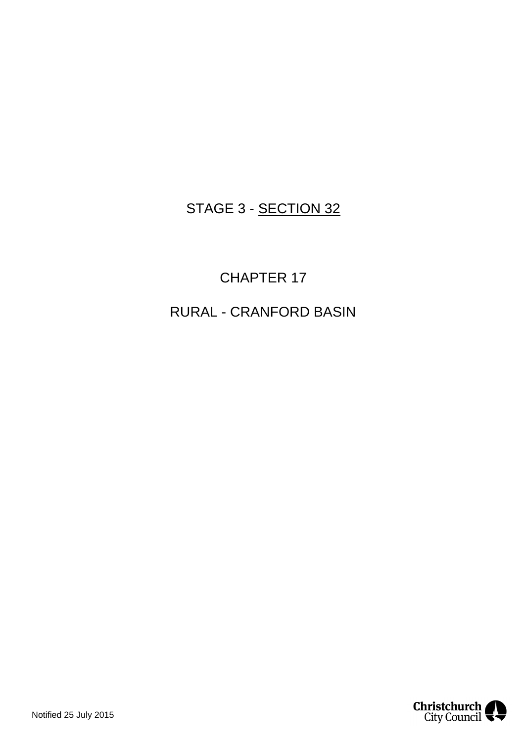# STAGE 3 - SECTION 32

# CHAPTER 17

# RURAL - CRANFORD BASIN

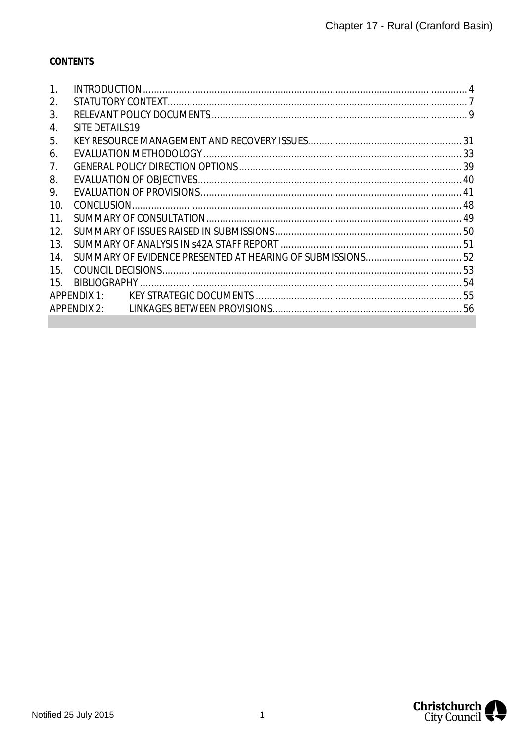# **CONTENTS**

| 1.              |                         |  |
|-----------------|-------------------------|--|
| 2.              |                         |  |
| 3.              |                         |  |
| 4.              | SITE DETAILS 19         |  |
| 5.              |                         |  |
| 6.              |                         |  |
| 7.              |                         |  |
| 8.              |                         |  |
| 9.              |                         |  |
| 10.             |                         |  |
| 11.             |                         |  |
| 12 <sub>1</sub> |                         |  |
| 13.             |                         |  |
| 14.             |                         |  |
| 15.             |                         |  |
| 15.             |                         |  |
|                 | APPFNDIX 1 <sup>T</sup> |  |
|                 | APPENDIX 2:             |  |

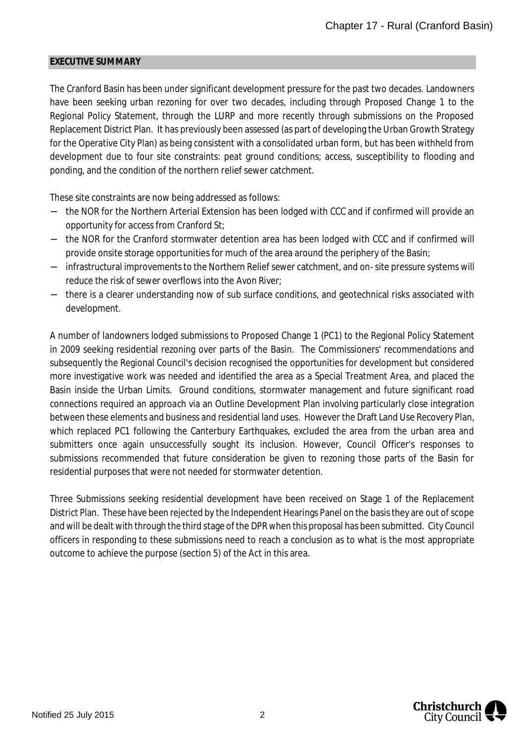#### **EXECUTIVE SUMMARY**

The Cranford Basin has been under significant development pressure for the past two decades. Landowners have been seeking urban rezoning for over two decades, including through Proposed Change 1 to the Regional Policy Statement, through the LURP and more recently through submissions on the Proposed Replacement District Plan. It has previously been assessed (as part of developing the Urban Growth Strategy for the Operative City Plan) as being consistent with a consolidated urban form, but has been withheld from development due to four site constraints: peat ground conditions; access, susceptibility to flooding and ponding, and the condition of the northern relief sewer catchment.

These site constraints are now being addressed as follows:

- the NOR for the Northern Arterial Extension has been lodged with CCC and if confirmed will provide an opportunity for access from Cranford St;
- the NOR for the Cranford stormwater detention area has been lodged with CCC and if confirmed will provide onsite storage opportunities for much of the area around the periphery of the Basin;
- infrastructural improvements to the Northern Relief sewer catchment, and on- site pressure systems will reduce the risk of sewer overflows into the Avon River;
- there is a clearer understanding now of sub surface conditions, and geotechnical risks associated with development.

A number of landowners lodged submissions to Proposed Change 1 (PC1) to the Regional Policy Statement in 2009 seeking residential rezoning over parts of the Basin. The Commissioners' recommendations and subsequently the Regional Council's decision recognised the opportunities for development but considered more investigative work was needed and identified the area as a Special Treatment Area, and placed the Basin inside the Urban Limits. Ground conditions, stormwater management and future significant road connections required an approach via an Outline Development Plan involving particularly close integration between these elements and business and residential land uses. However the Draft Land Use Recovery Plan, which replaced PC1 following the Canterbury Earthquakes, excluded the area from the urban area and submitters once again unsuccessfully sought its inclusion. However, Council Officer's responses to submissions recommended that future consideration be given to rezoning those parts of the Basin for residential purposes that were not needed for stormwater detention.

Three Submissions seeking residential development have been received on Stage 1 of the Replacement District Plan. These have been rejected by the Independent Hearings Panel on the basis they are out of scope and will be dealt with through the third stage of the DPR when this proposal has been submitted. City Council officers in responding to these submissions need to reach a conclusion as to what is the most appropriate outcome to achieve the purpose (section 5) of the Act in this area.

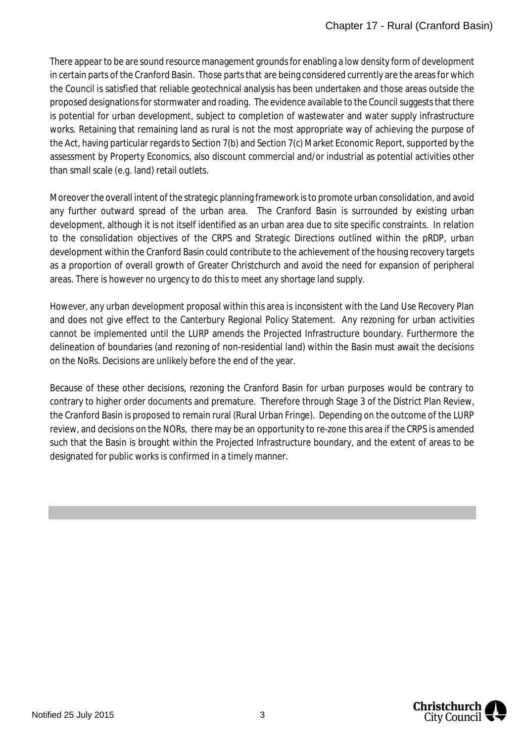There appear to be are sound resource management grounds for enabling a low density form of development in certain parts of the Cranford Basin. Those parts that are being considered currently are the areas for which the Council is satisfied that reliable geotechnical analysis has been undertaken and those areas outside the proposed designations for stormwater and roading. The evidence available to the Council suggests that there is potential for urban development, subject to completion of wastewater and water supply infrastructure works. Retaining that remaining land as rural is not the most appropriate way of achieving the purpose of the Act, having particular regards to Section 7(b) and Section 7(c) Market Economic Report, supported by the assessment by Property Economics, also discount commercial and/or industrial as potential activities other than small scale (e.g. land) retail outlets.

Moreover the overall intent of the strategic planning framework is to promote urban consolidation, and avoid any further outward spread of the urban area. The Cranford Basin is surrounded by existing urban development, although it is not itself identified as an urban area due to site specific constraints. In relation to the consolidation objectives of the CRPS and Strategic Directions outlined within the pRDP, urban development within the Cranford Basin could contribute to the achievement of the housing recovery targets as a proportion of overall growth of Greater Christchurch and avoid the need for expansion of peripheral areas. There is however no urgency to do this to meet any shortage land supply.

However, any urban development proposal within this area is inconsistent with the Land Use Recovery Plan and does not give effect to the Canterbury Regional Policy Statement. Any rezoning for urban activities cannot be implemented until the LURP amends the Projected Infrastructure boundary. Furthermore the delineation of boundaries (and rezoning of non-residential land) within the Basin must await the decisions on the NoRs. Decisions are unlikely before the end of the year.

Because of these other decisions, rezoning the Cranford Basin for urban purposes would be contrary to contrary to higher order documents and premature. Therefore through Stage 3 of the District Plan Review, the Cranford Basin is proposed to remain rural (Rural Urban Fringe). Depending on the outcome of the LURP review, and decisions on the NORs, there may be an opportunity to re-zone this area if the CRPS is amended such that the Basin is brought within the Projected Infrastructure boundary, and the extent of areas to be designated for public works is confirmed in a timely manner.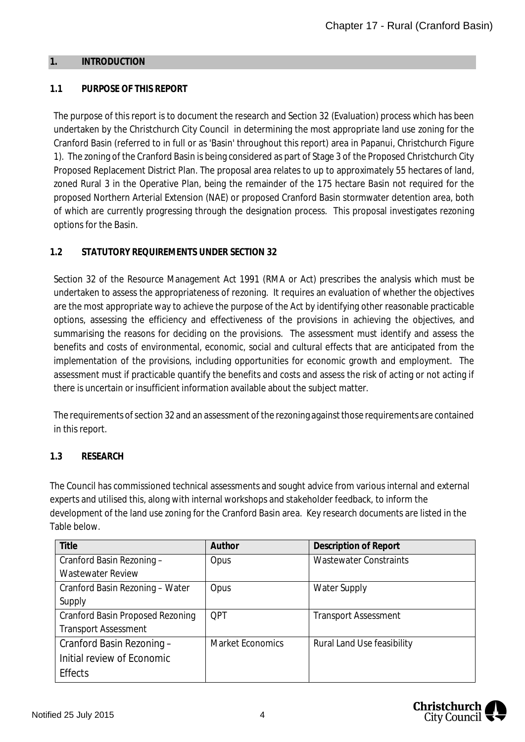#### <span id="page-4-1"></span><span id="page-4-0"></span>**1. INTRODUCTION**

## **1.1 PURPOSE OF THIS REPORT**

The purpose of this report is to document the research and Section 32 (Evaluation) process which has been undertaken by the Christchurch City Council in determining the most appropriate land use zoning for the Cranford Basin (referred to in full or as 'Basin' throughout this report) area in Papanui, Christchurch Figure 1). The zoning of the Cranford Basin is being considered as part of Stage 3 of the Proposed Christchurch City Proposed Replacement District Plan. The proposal area relates to up to approximately 55 hectares of land, zoned Rural 3 in the Operative Plan, being the remainder of the 175 hectare Basin not required for the proposed Northern Arterial Extension (NAE) or proposed Cranford Basin stormwater detention area, both of which are currently progressing through the designation process. This proposal investigates rezoning options for the Basin.

# **1.2 STATUTORY REQUIREMENTS UNDER SECTION 32**

Section 32 of the Resource Management Act 1991 (RMA or Act) prescribes the analysis which must be undertaken to assess the appropriateness of rezoning. It requires an evaluation of whether the objectives are the most appropriate way to achieve the purpose of the Act by identifying other reasonable practicable options, assessing the efficiency and effectiveness of the provisions in achieving the objectives, and summarising the reasons for deciding on the provisions. The assessment must identify and assess the benefits and costs of environmental, economic, social and cultural effects that are anticipated from the implementation of the provisions, including opportunities for economic growth and employment. The assessment must if practicable quantify the benefits and costs and assess the risk of acting or not acting if there is uncertain or insufficient information available about the subject matter.

The requirements of section 32 and an assessment of the rezoning against those requirements are contained in this report.

## **1.3 RESEARCH**

The Council has commissioned technical assessments and sought advice from various internal and external experts and utilised this, along with internal workshops and stakeholder feedback, to inform the development of the land use zoning for the Cranford Basin area. Key research documents are listed in the Table below.

| Title                                   | Author                  | <b>Description of Report</b>      |
|-----------------------------------------|-------------------------|-----------------------------------|
| Cranford Basin Rezoning -               | Opus                    | <b>Wastewater Constraints</b>     |
| <b>Wastewater Review</b>                |                         |                                   |
| Cranford Basin Rezoning - Water         | Opus                    | <b>Water Supply</b>               |
| Supply                                  |                         |                                   |
| <b>Cranford Basin Proposed Rezoning</b> | <b>OPT</b>              | <b>Transport Assessment</b>       |
| <b>Transport Assessment</b>             |                         |                                   |
| Cranford Basin Rezoning -               | <b>Market Economics</b> | <b>Rural Land Use feasibility</b> |
| Initial review of Economic              |                         |                                   |
| <b>Effects</b>                          |                         |                                   |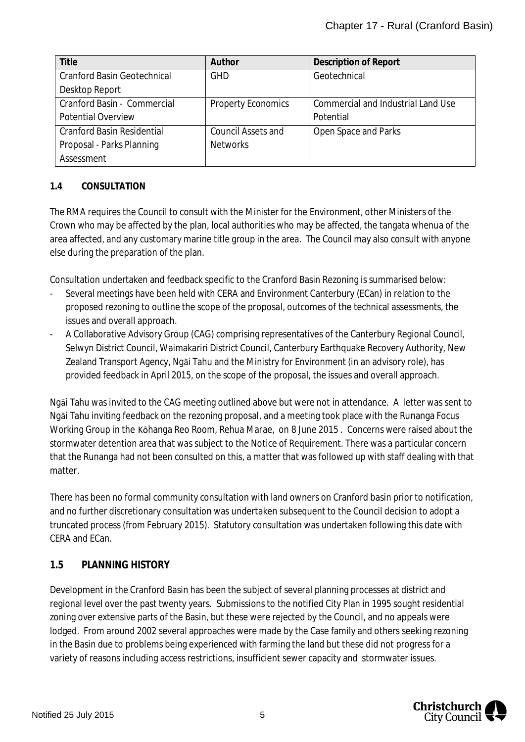| Title                              | Author                    | Description of Report              |
|------------------------------------|---------------------------|------------------------------------|
| <b>Cranford Basin Geotechnical</b> | <b>GHD</b>                | Geotechnical                       |
| Desktop Report                     |                           |                                    |
| Cranford Basin - Commercial        | <b>Property Economics</b> | Commercial and Industrial Land Use |
| <b>Potential Overview</b>          |                           | Potential                          |
| <b>Cranford Basin Residential</b>  | <b>Council Assets and</b> | Open Space and Parks               |
| Proposal - Parks Planning          | <b>Networks</b>           |                                    |
| Assessment                         |                           |                                    |

# **1.4 CONSULTATION**

The RMA requires the Council to consult with the Minister for the Environment, other Ministers of the Crown who may be affected by the plan, local authorities who may be affected, the tangata whenua of the area affected, and any customary marine title group in the area. The Council may also consult with anyone else during the preparation of the plan.

Consultation undertaken and feedback specific to the Cranford Basin Rezoning is summarised below:

- Several meetings have been held with CERA and Environment Canterbury (ECan) in relation to the proposed rezoning to outline the scope of the proposal, outcomes of the technical assessments, the issues and overall approach.
- A Collaborative Advisory Group (CAG) comprising representatives of the Canterbury Regional Council, Selwyn District Council, Waimakariri District Council, Canterbury Earthquake Recovery Authority, New Zealand Transport Agency, Ngāi Tahu and the Ministry for Environment (in an advisory role), has provided feedback in April 2015, on the scope of the proposal, the issues and overall approach.

Ngāi Tahu was invited to the CAG meeting outlined above but were not in attendance. A letter was sent to Ngāi Tahu inviting feedback on the rezoning proposal, and a meeting took place with the Runanga Focus Working Group in the Kōhanga Reo Room, Rehua Marae, on 8 June 2015 . Concerns were raised about the stormwater detention area that was subject to the Notice of Requirement. There was a particular concern that the Runanga had not been consulted on this, a matter that was followed up with staff dealing with that matter

There has been no formal community consultation with land owners on Cranford basin prior to notification, and no further discretionary consultation was undertaken subsequent to the Council decision to adopt a truncated process (from February 2015). Statutory consultation was undertaken following this date with CERA and ECan.

# **1.5 PLANNING HISTORY**

Development in the Cranford Basin has been the subject of several planning processes at district and regional level over the past twenty years. Submissions to the notified City Plan in 1995 sought residential zoning over extensive parts of the Basin, but these were rejected by the Council, and no appeals were lodged. From around 2002 several approaches were made by the Case family and others seeking rezoning in the Basin due to problems being experienced with farming the land but these did not progress for a variety of reasons including access restrictions, insufficient sewer capacity and stormwater issues.

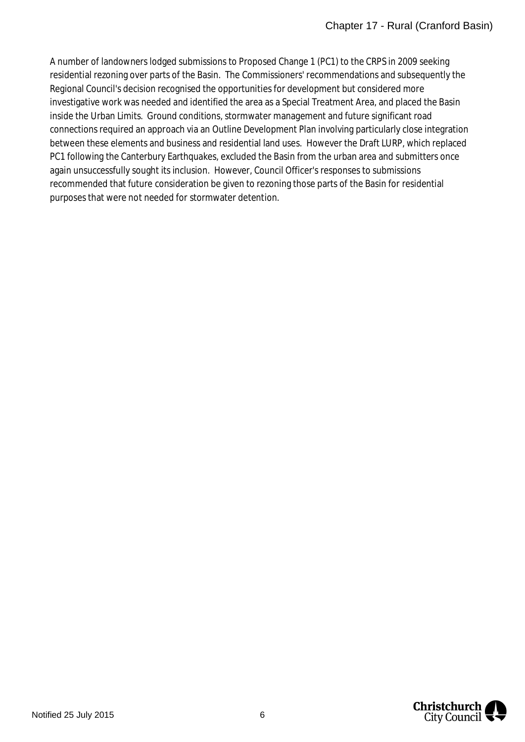A number of landowners lodged submissions to Proposed Change 1 (PC1) to the CRPS in 2009 seeking residential rezoning over parts of the Basin. The Commissioners' recommendations and subsequently the Regional Council's decision recognised the opportunities for development but considered more investigative work was needed and identified the area as a Special Treatment Area, and placed the Basin inside the Urban Limits. Ground conditions, stormwater management and future significant road connections required an approach via an Outline Development Plan involving particularly close integration between these elements and business and residential land uses. However the Draft LURP, which replaced PC1 following the Canterbury Earthquakes, excluded the Basin from the urban area and submitters once again unsuccessfully sought its inclusion. However, Council Officer's responses to submissions recommended that future consideration be given to rezoning those parts of the Basin for residential purposes that were not needed for stormwater detention.

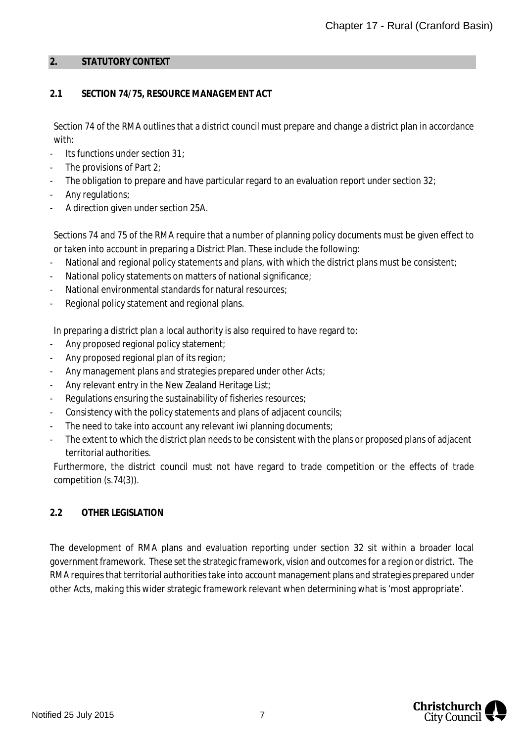#### <span id="page-7-0"></span>**2. STATUTORY CONTEXT**

## **2.1 SECTION 74/75, RESOURCE MANAGEMENT ACT**

Section 74 of the RMA outlines that a district council must prepare and change a district plan in accordance with:

- Its functions under section  $31$ :
- The provisions of Part  $2$ ;
- The obligation to prepare and have particular regard to an evaluation report under section 32;
- Any regulations;
- A direction given under section 25A.

Sections 74 and 75 of the RMA require that a number of planning policy documents must be given effect to or taken into account in preparing a District Plan. These include the following:

- National and regional policy statements and plans, with which the district plans must be consistent;
- National policy statements on matters of national significance;
- National environmental standards for natural resources;
- Regional policy statement and regional plans.

In preparing a district plan a local authority is also required to have regard to:

- Any proposed regional policy statement;
- Any proposed regional plan of its region;
- Any management plans and strategies prepared under other Acts;
- Any relevant entry in the New Zealand Heritage List;
- Regulations ensuring the sustainability of fisheries resources;
- Consistency with the policy statements and plans of adjacent councils;
- The need to take into account any relevant [iwi planning documents;](http://www.environmentguide.org.nz/overview/maori-and-environmental-law/)
- The extent to which the district plan needs to be consistent with the plans or proposed plans of adjacent territorial authorities.

Furthermore, the district council must not have regard to trade competition or the effects of trade competition (s.74(3)).

## **2.2 OTHER LEGISLATION**

The development of RMA plans and evaluation reporting under section 32 sit within a broader local government framework. These set the strategic framework, vision and outcomes for a region or district. The RMA requires that territorial authorities take into account management plans and strategies prepared under other Acts, making this wider strategic framework relevant when determining what is 'most appropriate'.

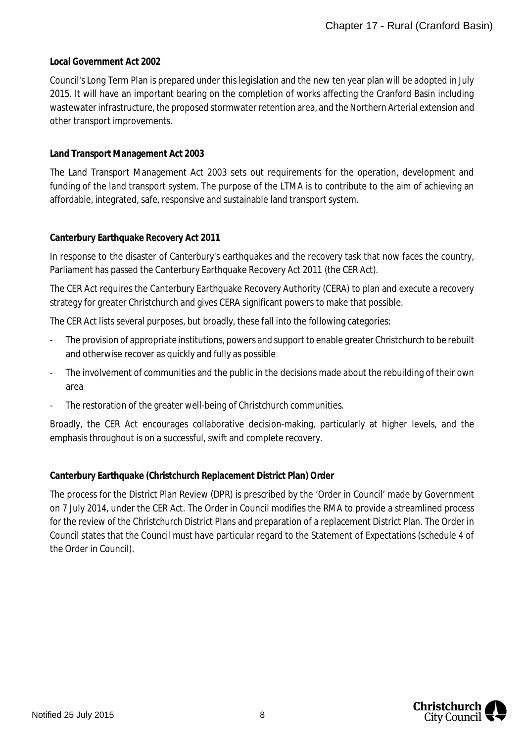## **Local Government Act 2002**

Council's Long Term Plan is prepared under this legislation and the new ten year plan will be adopted in July 2015. It will have an important bearing on the completion of works affecting the Cranford Basin including wastewater infrastructure, the proposed stormwater retention area, and the Northern Arterial extension and other transport improvements.

#### **Land Transport Management Act 2003**

The Land Transport Management Act 2003 sets out requirements for the operation, development and funding of the land transport system. The purpose of the LTMA is to contribute to the aim of achieving an affordable, integrated, safe, responsive and sustainable land transport system.

#### **Canterbury Earthquake Recovery Act 2011**

In response to the disaster of Canterbury's earthquakes and the recovery task that now faces the country, Parliament has passed the Canterbury Earthquake Recovery Act 2011 (the CER Act).

The CER Act requires the Canterbury Earthquake Recovery Authority (CERA) to plan and execute a recovery strategy for greater Christchurch and gives CERA significant powers to make that possible.

The CER Act lists several purposes, but broadly, these fall into the following categories:

- The provision of appropriate institutions, powers and support to enable greater Christchurch to be rebuilt and otherwise recover as quickly and fully as possible
- The involvement of communities and the public in the decisions made about the rebuilding of their own area
- The restoration of the greater well-being of Christchurch communities.

Broadly, the CER Act encourages collaborative decision-making, particularly at higher levels, and the emphasis throughout is on a successful, swift and complete recovery.

#### **Canterbury Earthquake (Christchurch Replacement District Plan) Order**

The process for the District Plan Review (DPR) is prescribed by the 'Order in Council' made by Government on 7 July 2014, under the CER Act. The Order in Council modifies the RMA to provide a streamlined process for the review of the Christchurch District Plans and preparation of a replacement District Plan. The Order in Council states that the Council must have particular regard to the Statement of Expectations (schedule 4 of the Order in Council).

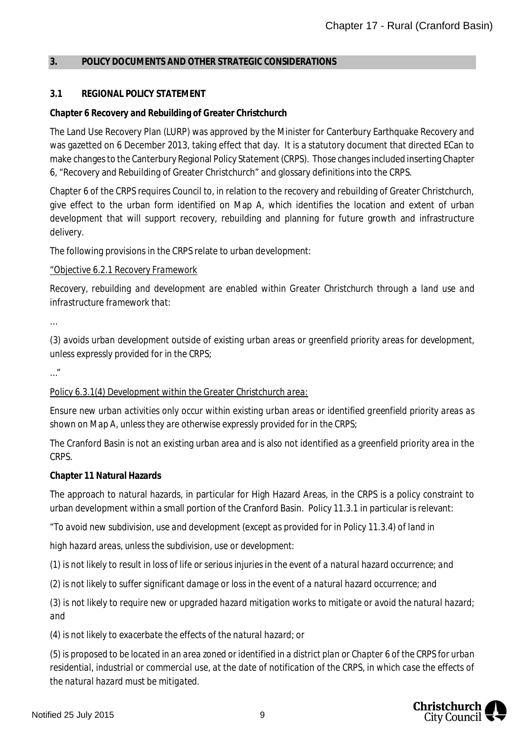#### <span id="page-9-0"></span>**3. POLICY DOCUMENTS AND OTHER STRATEGIC CONSIDERATIONS**

## **3.1 REGIONAL POLICY STATEMENT**

#### **Chapter 6 Recovery and Rebuilding of Greater Christchurch**

The Land Use Recovery Plan (LURP) was approved by the Minister for Canterbury Earthquake Recovery and was gazetted on 6 December 2013, taking effect that day. It is a statutory document that directed ECan to make changes to the Canterbury Regional Policy Statement (CRPS). Those changes included inserting Chapter 6, "Recovery and Rebuilding of Greater Christchurch" and glossary definitions into the CRPS.

Chapter 6 of the CRPS requires Council to, in relation to the recovery and rebuilding of Greater Christchurch, give effect to the urban form identified on Map A, which identifies the location and extent of urban development that will support recovery, rebuilding and planning for future growth and infrastructure delivery.

The following provisions in the CRPS relate to urban development:

#### *"Objective 6.2.1 Recovery Framework*

*Recovery, rebuilding and development are enabled within Greater Christchurch through a land use and infrastructure framework that:*

*…*

*(3) avoids urban development outside of existing urban areas or greenfield priority areas for development, unless expressly provided for in the CRPS;*

*…"*

## *Policy 6.3.1(4) Development within the Greater Christchurch area:*

*Ensure new urban activities only occur within existing urban areas or identified greenfield priority areas as shown on Map A, unless they are otherwise expressly provided for in the CRPS;*

The Cranford Basin is not an existing urban area and is also not identified as a greenfield priority area in the CRPS.

**Chapter 11 Natural Hazards**

The approach to natural hazards, in particular for High Hazard Areas, in the CRPS is a policy constraint to urban development within a small portion of the Cranford Basin. Policy 11.3.1 in particular is relevant:

*"To avoid new subdivision, use and development (except as provided for in Policy 11.3.4) of land in*

*high hazard areas, unless the subdivision, use or development:*

*(1) is not likely to result in loss of life or serious injuries in the event of a natural hazard occurrence; and*

*(2) is not likely to suffer significant damage or loss in the event of a natural hazard occurrence; and*

*(3) is not likely to require new or upgraded hazard mitigation works to mitigate or avoid the natural hazard; and*

*(4) is not likely to exacerbate the effects of the natural hazard; or*

*(5) is proposed to be located in an area zoned or identified in a district plan or Chapter 6 of the CRPS for urban residential, industrial or commercial use, at the date of notification of the CRPS, in which case the effects of the natural hazard must be mitigated.*

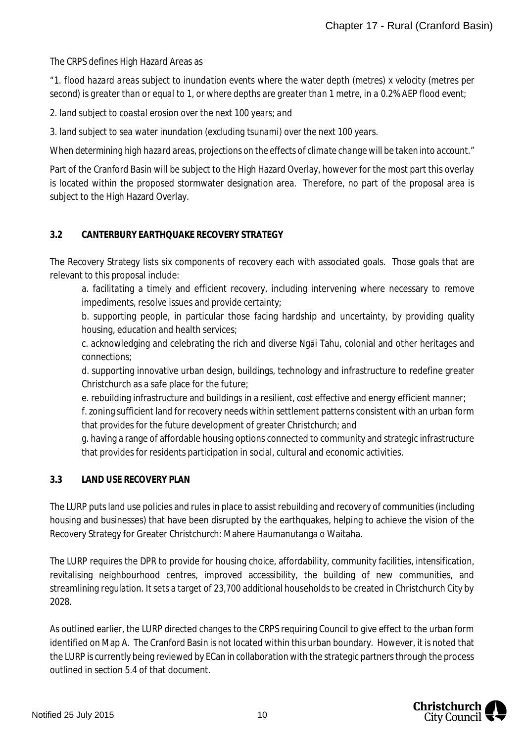The CRPS defines High Hazard Areas as

*"1. flood hazard areas subject to inundation events where the water depth (metres) x velocity (metres per second) is greater than or equal to 1, or where depths are greater than 1 metre, in a 0.2% AEP flood event;*

*2. land subject to coastal erosion over the next 100 years; and*

*3. land subject to sea water inundation (excluding tsunami) over the next 100 years.*

*When determining high hazard areas, projections on the effects of climate change will be taken into account."*

Part of the Cranford Basin will be subject to the High Hazard Overlay, however for the most part this overlay is located within the proposed stormwater designation area. Therefore, no part of the proposal area is subject to the High Hazard Overlay.

## **3.2 CANTERBURY EARTHQUAKE RECOVERY STRATEGY**

The Recovery Strategy lists six components of recovery each with associated goals. Those goals that are relevant to this proposal include:

a. facilitating a timely and efficient recovery, including intervening where necessary to remove impediments, resolve issues and provide certainty;

b. supporting people, in particular those facing hardship and uncertainty, by providing quality housing, education and health services;

c. acknowledging and celebrating the rich and diverse Ngāi Tahu, colonial and other heritages and connections;

d. supporting innovative urban design, buildings, technology and infrastructure to redefine greater Christchurch as a safe place for the future;

e. rebuilding infrastructure and buildings in a resilient, cost effective and energy efficient manner;

f. zoning sufficient land for recovery needs within settlement patterns consistent with an urban form that provides for the future development of greater Christchurch; and

g. having a range of affordable housing options connected to community and strategic infrastructure that provides for residents participation in social, cultural and economic activities.

## **3.3 LAND USE RECOVERY PLAN**

The LURP puts land use policies and rules in place to assist rebuilding and recovery of communities (including housing and businesses) that have been disrupted by the earthquakes, helping to achieve the vision of the Recovery Strategy for Greater Christchurch: Mahere Haumanutanga o Waitaha.

The LURP requires the DPR to provide for housing choice, affordability, community facilities, intensification, revitalising neighbourhood centres, improved accessibility, the building of new communities, and streamlining regulation. It sets a target of 23,700 additional households to be created in Christchurch City by 2028.

As outlined earlier, the LURP directed changes to the CRPS requiring Council to give effect to the urban form identified on Map A. The Cranford Basin is not located within this urban boundary. However, it is noted that the LURP is currently being reviewed by ECan in collaboration with the strategic partners through the process outlined in section 5.4 of that document.

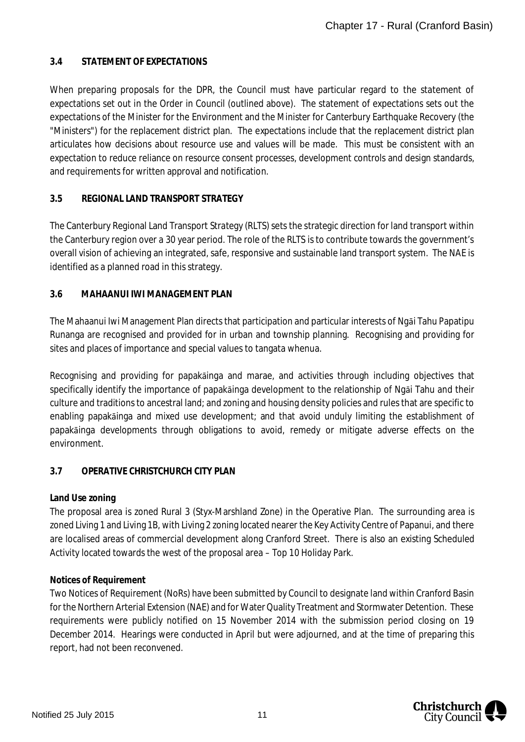## **3.4 STATEMENT OF EXPECTATIONS**

When preparing proposals for the DPR, the Council must have particular regard to the statement of expectations set out in the Order in Council (outlined above). The statement of expectations sets out the expectations of the Minister for the Environment and the Minister for Canterbury Earthquake Recovery (the "Ministers") for the replacement district plan. The expectations include that the replacement district plan articulates how decisions about resource use and values will be made. This must be consistent with an expectation to reduce reliance on resource consent processes, development controls and design standards, and requirements for written approval and notification.

## **3.5 REGIONAL LAND TRANSPORT STRATEGY**

The Canterbury Regional Land Transport Strategy (RLTS) sets the strategic direction for land transport within the Canterbury region over a 30 year period. The role of the RLTS is to contribute towards the government's overall vision of achieving an integrated, safe, responsive and sustainable land transport system. The NAE is identified as a planned road in this strategy.

## **3.6 MAHAANUI IWI MANAGEMENT PLAN**

The Mahaanui Iwi Management Plan directs that participation and particular interests of Ngāi Tahu Papatipu Runanga are recognised and provided for in urban and township planning. Recognising and providing for sites and places of importance and special values to tangata whenua.

Recognising and providing for papakāinga and marae, and activities through including objectives that specifically identify the importance of papakāinga development to the relationship of Ngāi Tahu and their culture and traditions to ancestral land; and zoning and housing density policies and rules that are specific to enabling papakāinga and mixed use development; and that avoid unduly limiting the establishment of papakāinga developments through obligations to avoid, remedy or mitigate adverse effects on the environment.

## **3.7 OPERATIVE CHRISTCHURCH CITY PLAN**

#### **Land Use zoning**

The proposal area is zoned Rural 3 (Styx-Marshland Zone) in the Operative Plan. The surrounding area is zoned Living 1 and Living 1B, with Living 2 zoning located nearer the Key Activity Centre of Papanui, and there are localised areas of commercial development along Cranford Street. There is also an existing Scheduled Activity located towards the west of the proposal area – Top 10 Holiday Park.

#### **Notices of Requirement**

Two Notices of Requirement (NoRs) have been submitted by Council to designate land within Cranford Basin for the Northern Arterial Extension (NAE) and for Water Quality Treatment and Stormwater Detention. These requirements were publicly notified on 15 November 2014 with the submission period closing on 19 December 2014. Hearings were conducted in April but were adjourned, and at the time of preparing this report, had not been reconvened.

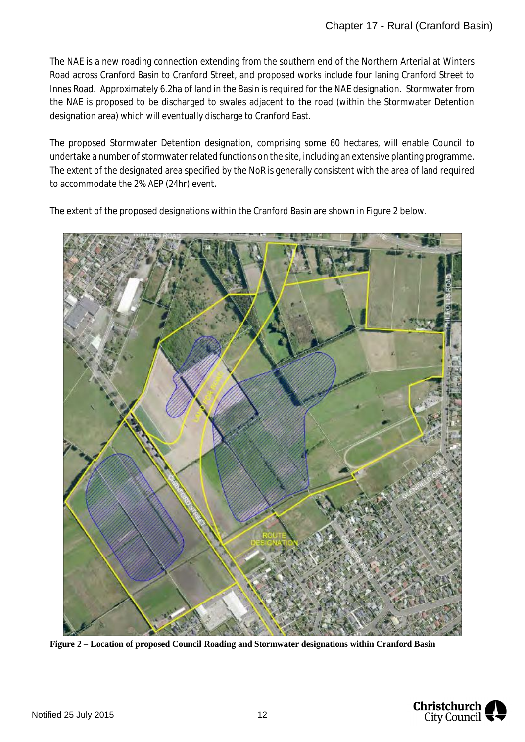The NAE is a new roading connection extending from the southern end of the Northern Arterial at Winters Road across Cranford Basin to Cranford Street, and proposed works include four laning Cranford Street to Innes Road. Approximately 6.2ha of land in the Basin is required for the NAE designation. Stormwater from the NAE is proposed to be discharged to swales adjacent to the road (within the Stormwater Detention designation area) which will eventually discharge to Cranford East.

The proposed Stormwater Detention designation, comprising some 60 hectares, will enable Council to undertake a number of stormwater related functions on the site, including an extensive planting programme. The extent of the designated area specified by the NoR is generally consistent with the area of land required to accommodate the 2% AEP (24hr) event.

The extent of the proposed designations within the Cranford Basin are shown in Figure 2 below.



**Figure 2 – Location of proposed Council Roading and Stormwater designations within Cranford Basin**

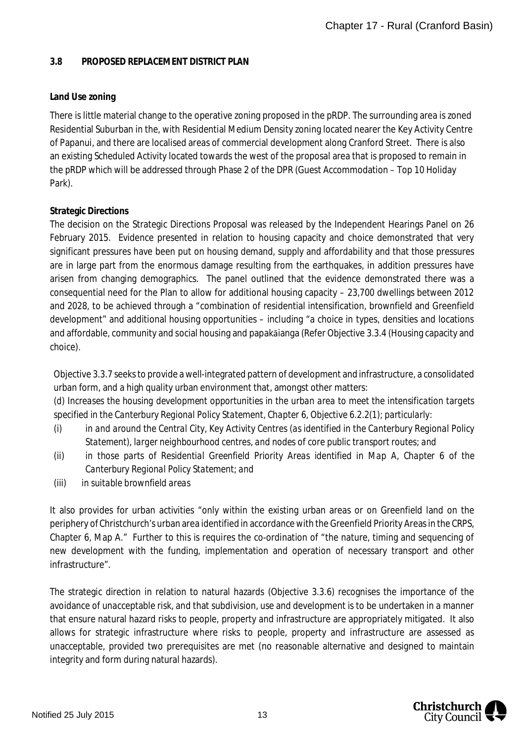#### **3.8 PROPOSED REPLACEMENT DISTRICT PLAN**

## **Land Use zoning**

There is little material change to the operative zoning proposed in the pRDP. The surrounding area is zoned Residential Suburban in the, with Residential Medium Density zoning located nearer the Key Activity Centre of Papanui, and there are localised areas of commercial development along Cranford Street. There is also an existing Scheduled Activity located towards the west of the proposal area that is proposed to remain in the pRDP which will be addressed through Phase 2 of the DPR (Guest Accommodation – Top 10 Holiday Park).

## **Strategic Directions**

The decision on the Strategic Directions Proposal was released by the Independent Hearings Panel on 26 February 2015. Evidence presented in relation to housing capacity and choice demonstrated that very significant pressures have been put on housing demand, supply and affordability and that those pressures are in large part from the enormous damage resulting from the earthquakes, in addition pressures have arisen from changing demographics. The panel outlined that the evidence demonstrated there was a consequential need for the Plan to allow for additional housing capacity – 23,700 dwellings between 2012 and 2028, to be achieved through a "combination of residential intensification, brownfield and Greenfield development" and additional housing opportunities – including "a choice in types, densities and locations and affordable, community and social housing and papakāianga (Refer Objective 3.3.4 (Housing capacity and choice).

Objective 3.3.7 seeks to provide a well-integrated pattern of development and infrastructure, a consolidated urban form, and a high quality urban environment that, amongst other matters: *(d) Increases the housing development opportunities in the urban area to meet the intensification targets specified in the Canterbury Regional Policy Statement, Chapter 6, Objective 6.2.2(1); particularly:*

- *(i) in and around the Central City, Key Activity Centres (as identified in the Canterbury Regional Policy Statement), larger neighbourhood centres, and nodes of core public transport routes; and*
- *(ii) in those parts of Residential Greenfield Priority Areas identified in Map A, Chapter 6 of the Canterbury Regional Policy Statement; and*
- *(iii) in suitable brownfield areas*

It also provides for urban activities "only within the existing urban areas or on Greenfield land on the periphery of Christchurch's urban area identified in accordance with the Greenfield Priority Areas in the CRPS, Chapter 6, Map A." Further to this is requires the co-ordination of "the nature, timing and sequencing of new development with the funding, implementation and operation of necessary transport and other infrastructure".

The strategic direction in relation to natural hazards (Objective 3.3.6) recognises the importance of the avoidance of unacceptable risk, and that subdivision, use and development is to be undertaken in a manner that ensure natural hazard risks to people, property and infrastructure are appropriately mitigated. It also allows for strategic infrastructure where risks to people, property and infrastructure are assessed as unacceptable, provided two prerequisites are met (no reasonable alternative and designed to maintain integrity and form during natural hazards).

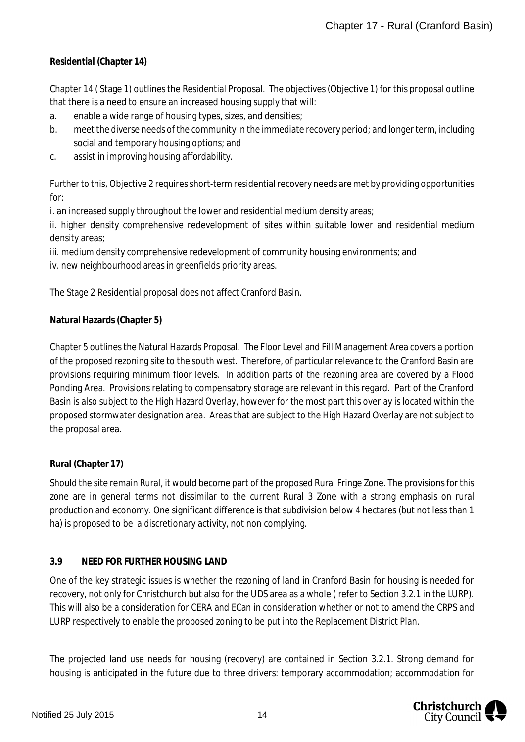**Residential (Chapter 14)**

Chapter 14 ( Stage 1) outlines the Residential Proposal. The objectives (Objective 1) for this proposal outline that there is a need to ensure an increased housing supply that will:

- a. enable a wide range of housing types, sizes, and densities;
- b. meet the diverse needs of the community in the immediate recovery period; and longer term, including social and temporary housing options; and
- c. assist in improving housing affordability.

Further to this, Objective 2 requires short-term residential recovery needs are met by providing opportunities for:

i. an increased supply throughout the lower and residential medium density areas;

ii. higher density comprehensive redevelopment of sites within suitable lower and residential medium density areas;

iii. medium density comprehensive redevelopment of community housing environments; and

iv. new neighbourhood areas in greenfields priority areas.

The Stage 2 Residential proposal does not affect Cranford Basin.

## **Natural Hazards (Chapter 5)**

Chapter 5 outlines the Natural Hazards Proposal. The Floor Level and Fill Management Area covers a portion of the proposed rezoning site to the south west. Therefore, of particular relevance to the Cranford Basin are provisions requiring minimum floor levels. In addition parts of the rezoning area are covered by a Flood Ponding Area. Provisions relating to compensatory storage are relevant in this regard. Part of the Cranford Basin is also subject to the High Hazard Overlay, however for the most part this overlay is located within the proposed stormwater designation area. Areas that are subject to the High Hazard Overlay are not subject to the proposal area.

## **Rural (Chapter 17)**

Should the site remain Rural, it would become part of the proposed Rural Fringe Zone. The provisions for this zone are in general terms not dissimilar to the current Rural 3 Zone with a strong emphasis on rural production and economy. One significant difference is that subdivision below 4 hectares (but not less than 1 ha) is proposed to be a discretionary activity, not non complying.

## **3.9 NEED FOR FURTHER HOUSING LAND**

One of the key strategic issues is whether the rezoning of land in Cranford Basin for housing is needed for recovery, not only for Christchurch but also for the UDS area as a whole ( refer to Section 3.2.1 in the LURP). This will also be a consideration for CERA and ECan in consideration whether or not to amend the CRPS and LURP respectively to enable the proposed zoning to be put into the Replacement District Plan.

The projected land use needs for housing (recovery) are contained in Section 3.2.1. Strong demand for housing is anticipated in the future due to three drivers: temporary accommodation; accommodation for

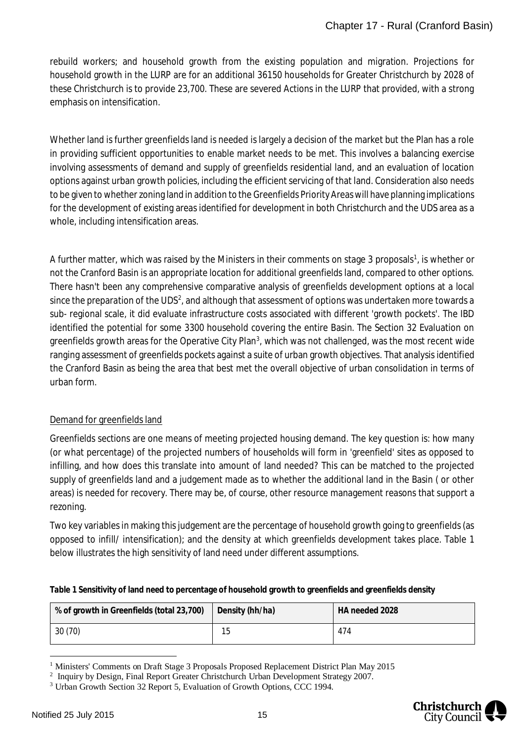rebuild workers; and household growth from the existing population and migration. Projections for household growth in the LURP are for an additional 36150 households for Greater Christchurch by 2028 of these Christchurch is to provide 23,700. These are severed Actions in the LURP that provided, with a strong emphasis on intensification.

Whether land is further greenfields land is needed is largely a decision of the market but the Plan has a role in providing sufficient opportunities to enable market needs to be met. This involves a balancing exercise involving assessments of demand and supply of greenfields residential land, and an evaluation of location options against urban growth policies, including the efficient servicing of that land. Consideration also needs to be given to whether zoning land in addition to the Greenfields Priority Areas will have planning implications for the development of existing areas identified for development in both Christchurch and the UDS area as a whole, including intensification areas.

A further matter, which was raised by the Ministers in their comments on stage 3 proposals<sup>[1](#page-15-0)</sup>, is whether or not the Cranford Basin is an appropriate location for additional greenfields land, compared to other options. There hasn't been any comprehensive comparative analysis of greenfields development options at a local since the preparation of the UDS<sup>[2](#page-15-1)</sup>, and although that assessment of options was undertaken more towards a sub- regional scale, it did evaluate infrastructure costs associated with different 'growth pockets'. The IBD identified the potential for some 3300 household covering the entire Basin. The Section 32 Evaluation on greenfields growth areas for the Operative City Plan<sup>[3](#page-15-2)</sup>, which was not challenged, was the most recent wide ranging assessment of greenfields pockets against a suite of urban growth objectives. That analysis identified the Cranford Basin as being the area that best met the overall objective of urban consolidation in terms of urban form.

# Demand for greenfields land

Greenfields sections are one means of meeting projected housing demand. The key question is: how many (or what percentage) of the projected numbers of households will form in 'greenfield' sites as opposed to infilling, and how does this translate into amount of land needed? This can be matched to the projected supply of greenfields land and a judgement made as to whether the additional land in the Basin ( or other areas) is needed for recovery. There may be, of course, other resource management reasons that support a rezoning.

Two key variables in making this judgement are the percentage of household growth going to greenfields (as opposed to infill/ intensification); and the density at which greenfields development takes place. Table 1 below illustrates the high sensitivity of land need under different assumptions.

**Table 1 Sensitivity of land need to percentage of household growth to greenfields and greenfields density**

| % of growth in Greenfields (total 23,700) | Density (hh/ha) | HA needed 2028 |
|-------------------------------------------|-----------------|----------------|
| 30 (70)                                   | 15              | 474            |

<span id="page-15-0"></span><sup>&</sup>lt;sup>1</sup> Ministers' Comments on Draft Stage 3 Proposals Proposed Replacement District Plan May 2015



<span id="page-15-1"></span><sup>&</sup>lt;sup>2</sup> Inquiry by Design, Final Report Greater Christchurch Urban Development Strategy 2007.

<span id="page-15-2"></span><sup>&</sup>lt;sup>3</sup> Urban Growth Section 32 Report 5, Evaluation of Growth Options, CCC 1994.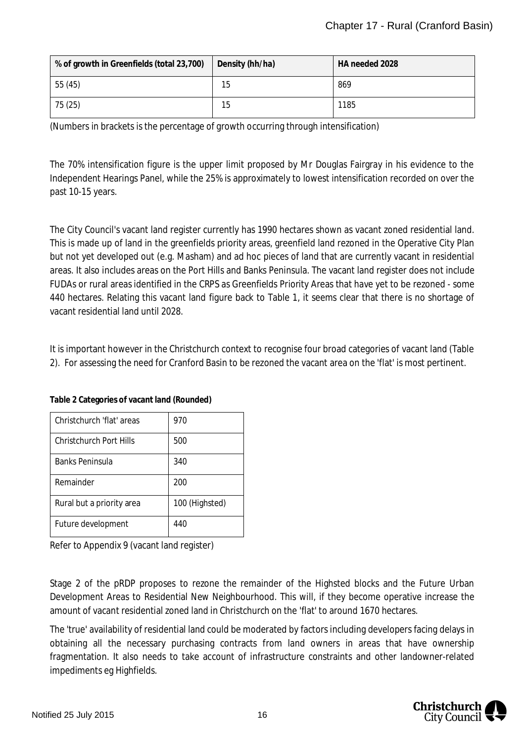| % of growth in Greenfields (total 23,700) | Density (hh/ha) | HA needed 2028 |
|-------------------------------------------|-----------------|----------------|
| 55 (45)                                   | 15              | 869            |
| 75 (25)                                   | 15              | 1185           |

(Numbers in brackets is the percentage of growth occurring through intensification)

The 70% intensification figure is the upper limit proposed by Mr Douglas Fairgray in his evidence to the Independent Hearings Panel, while the 25% is approximately to lowest intensification recorded on over the past 10-15 years.

The City Council's vacant land register currently has 1990 hectares shown as vacant zoned residential land. This is made up of land in the greenfields priority areas, greenfield land rezoned in the Operative City Plan but not yet developed out (e.g. Masham) and ad hoc pieces of land that are currently vacant in residential areas. It also includes areas on the Port Hills and Banks Peninsula. The vacant land register does not include FUDAs or rural areas identified in the CRPS as Greenfields Priority Areas that have yet to be rezoned - some 440 hectares. Relating this vacant land figure back to Table 1, it seems clear that there is no shortage of vacant residential land until 2028.

It is important however in the Christchurch context to recognise four broad categories of vacant land (Table 2). For assessing the need for Cranford Basin to be rezoned the vacant area on the 'flat' is most pertinent.

| Christchurch 'flat' areas | 970            |
|---------------------------|----------------|
| Christchurch Port Hills   | 500            |
| Banks Peninsula           | 340            |
| Remainder                 | 200            |
| Rural but a priority area | 100 (Highsted) |
| Future development        | 440            |

**Table 2 Categories of vacant land (Rounded)**

Refer to Appendix 9 (vacant land register)

Stage 2 of the pRDP proposes to rezone the remainder of the Highsted blocks and the Future Urban Development Areas to Residential New Neighbourhood. This will, if they become operative increase the amount of vacant residential zoned land in Christchurch on the 'flat' to around 1670 hectares.

The 'true' availability of residential land could be moderated by factors including developers facing delays in obtaining all the necessary purchasing contracts from land owners in areas that have ownership fragmentation. It also needs to take account of infrastructure constraints and other landowner-related impediments eg Highfields.

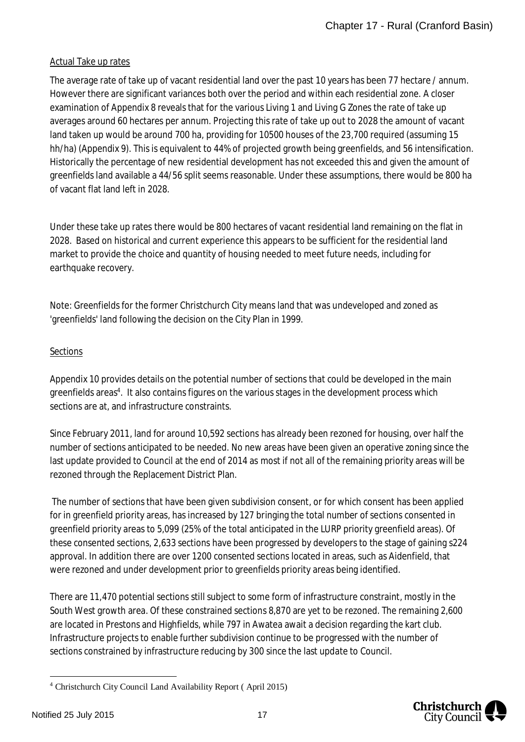#### Actual Take up rates

The average rate of take up of vacant residential land over the past 10 years has been 77 hectare / annum. However there are significant variances both over the period and within each residential zone. A closer examination of Appendix 8 reveals that for the various Living 1 and Living G Zones the rate of take up averages around 60 hectares per annum. Projecting this rate of take up out to 2028 the amount of vacant land taken up would be around 700 ha, providing for 10500 houses of the 23,700 required (assuming 15 hh/ha) (Appendix 9). This is equivalent to 44% of projected growth being greenfields, and 56 intensification. Historically the percentage of new residential development has not exceeded this and given the amount of greenfields land available a 44/56 split seems reasonable. Under these assumptions, there would be 800 ha of vacant flat land left in 2028.

Under these take up rates there would be 800 hectares of vacant residential land remaining on the flat in 2028. Based on historical and current experience this appears to be sufficient for the residential land market to provide the choice and quantity of housing needed to meet future needs, including for earthquake recovery.

Note: Greenfields for the former Christchurch City means land that was undeveloped and zoned as 'greenfields' land following the decision on the City Plan in 1999.

#### Sections

Appendix 10 provides details on the potential number of sections that could be developed in the main greenfields areas<sup>[4](#page-17-0)</sup>. It also contains figures on the various stages in the development process which sections are at, and infrastructure constraints.

Since February 2011, land for around 10,592 sections has already been rezoned for housing, over half the number of sections anticipated to be needed. No new areas have been given an operative zoning since the last update provided to Council at the end of 2014 as most if not all of the remaining priority areas will be rezoned through the Replacement District Plan.

 The number of sections that have been given subdivision consent, or for which consent has been applied for in greenfield priority areas, has increased by 127 bringing the total number of sections consented in greenfield priority areas to 5,099 (25% of the total anticipated in the LURP priority greenfield areas). Of these consented sections, 2,633 sections have been progressed by developers to the stage of gaining s224 approval. In addition there are over 1200 consented sections located in areas, such as Aidenfield, that were rezoned and under development prior to greenfields priority areas being identified.

There are 11,470 potential sections still subject to some form of infrastructure constraint, mostly in the South West growth area. Of these constrained sections 8,870 are yet to be rezoned. The remaining 2,600 are located in Prestons and Highfields, while 797 in Awatea await a decision regarding the kart club. Infrastructure projects to enable further subdivision continue to be progressed with the number of sections constrained by infrastructure reducing by 300 since the last update to Council.



<span id="page-17-0"></span><sup>4</sup> Christchurch City Council Land Availability Report ( April 2015)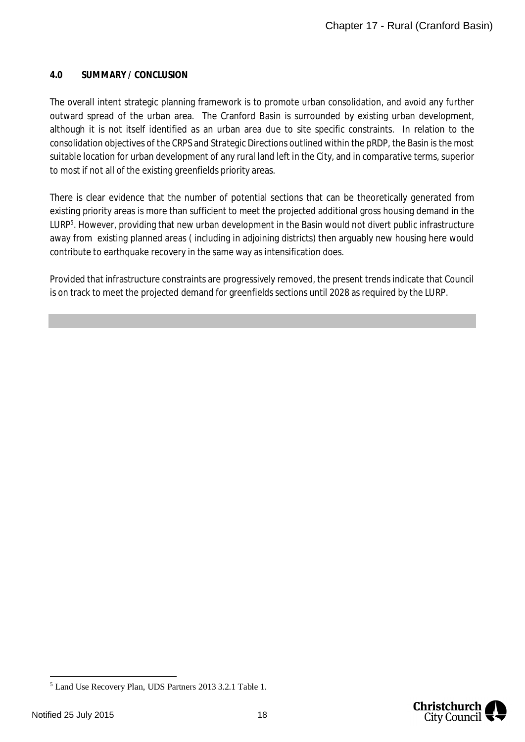#### **4.0 SUMMARY / CONCLUSION**

The overall intent strategic planning framework is to promote urban consolidation, and avoid any further outward spread of the urban area. The Cranford Basin is surrounded by existing urban development, although it is not itself identified as an urban area due to site specific constraints. In relation to the consolidation objectives of the CRPS and Strategic Directions outlined within the pRDP, the Basin is the most suitable location for urban development of any rural land left in the City, and in comparative terms, superior to most if not all of the existing greenfields priority areas.

There is clear evidence that the number of potential sections that can be theoretically generated from existing priority areas is more than sufficient to meet the projected additional gross housing demand in the LURP<sup>[5](#page-18-0)</sup>. However, providing that new urban development in the Basin would not divert public infrastructure away from existing planned areas ( including in adjoining districts) then arguably new housing here would contribute to earthquake recovery in the same way as intensification does.

Provided that infrastructure constraints are progressively removed, the present trends indicate that Council is on track to meet the projected demand for greenfields sections until 2028 as required by the LURP.



<span id="page-18-0"></span><sup>5</sup> Land Use Recovery Plan, UDS Partners 2013 3.2.1 Table 1.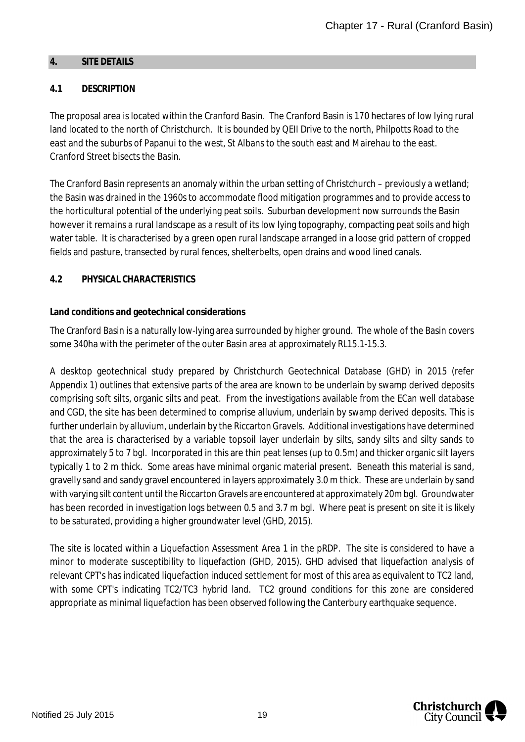#### <span id="page-19-0"></span>**4. SITE DETAILS**

## **4.1 DESCRIPTION**

The proposal area is located within the Cranford Basin. The Cranford Basin is 170 hectares of low lying rural land located to the north of Christchurch. It is bounded by QEII Drive to the north, Philpotts Road to the east and the suburbs of Papanui to the west, St Albans to the south east and Mairehau to the east. Cranford Street bisects the Basin.

The Cranford Basin represents an anomaly within the urban setting of Christchurch – previously a wetland; the Basin was drained in the 1960s to accommodate flood mitigation programmes and to provide access to the horticultural potential of the underlying peat soils. Suburban development now surrounds the Basin however it remains a rural landscape as a result of its low lying topography, compacting peat soils and high water table. It is characterised by a green open rural landscape arranged in a loose grid pattern of cropped fields and pasture, transected by rural fences, shelterbelts, open drains and wood lined canals.

#### **4.2 PHYSICAL CHARACTERISTICS**

#### **Land conditions and geotechnical considerations**

The Cranford Basin is a naturally low-lying area surrounded by higher ground. The whole of the Basin covers some 340ha with the perimeter of the outer Basin area at approximately RL15.1-15.3.

A desktop geotechnical study prepared by Christchurch Geotechnical Database (GHD) in 2015 (refer Appendix 1) outlines that extensive parts of the area are known to be underlain by swamp derived deposits comprising soft silts, organic silts and peat. From the investigations available from the ECan well database and CGD, the site has been determined to comprise alluvium, underlain by swamp derived deposits. This is further underlain by alluvium, underlain by the Riccarton Gravels. Additional investigations have determined that the area is characterised by a variable topsoil layer underlain by silts, sandy silts and silty sands to approximately 5 to 7 bgl. Incorporated in this are thin peat lenses (up to 0.5m) and thicker organic silt layers typically 1 to 2 m thick. Some areas have minimal organic material present. Beneath this material is sand, gravelly sand and sandy gravel encountered in layers approximately 3.0 m thick. These are underlain by sand with varying silt content until the Riccarton Gravels are encountered at approximately 20m bgl. Groundwater has been recorded in investigation logs between 0.5 and 3.7 m bgl. Where peat is present on site it is likely to be saturated, providing a higher groundwater level (GHD, 2015).

The site is located within a Liquefaction Assessment Area 1 in the pRDP. The site is considered to have a minor to moderate susceptibility to liquefaction (GHD, 2015). GHD advised that liquefaction analysis of relevant CPT's has indicated liquefaction induced settlement for most of this area as equivalent to TC2 land, with some CPT's indicating TC2/TC3 hybrid land. TC2 ground conditions for this zone are considered appropriate as minimal liquefaction has been observed following the Canterbury earthquake sequence.

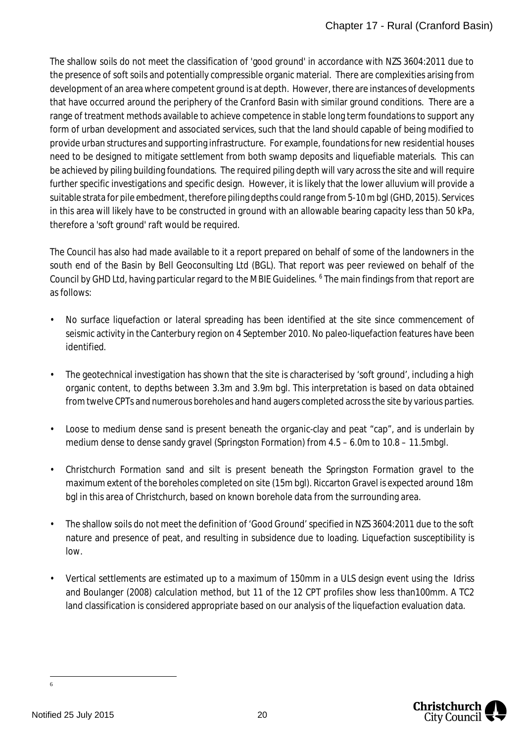The shallow soils do not meet the classification of 'good ground' in accordance with NZS 3604:2011 due to the presence of soft soils and potentially compressible organic material. There are complexities arising from development of an area where competent ground is at depth. However, there are instances of developments that have occurred around the periphery of the Cranford Basin with similar ground conditions. There are a range of treatment methods available to achieve competence in stable long term foundations to support any form of urban development and associated services, such that the land should capable of being modified to provide urban structures and supporting infrastructure. For example, foundations for new residential houses need to be designed to mitigate settlement from both swamp deposits and liquefiable materials. This can be achieved by piling building foundations. The required piling depth will vary across the site and will require further specific investigations and specific design. However, it is likely that the lower alluvium will provide a suitable strata for pile embedment, therefore piling depths could range from 5-10 m bgl (GHD, 2015). Services in this area will likely have to be constructed in ground with an allowable bearing capacity less than 50 kPa, therefore a 'soft ground' raft would be required.

The Council has also had made available to it a report prepared on behalf of some of the landowners in the south end of the Basin by Bell Geoconsulting Ltd (BGL). That report was peer reviewed on behalf of the Council by GHD Ltd, having particular regard to the MBIE Guidelines. <sup>[6](#page-20-0)</sup> The main findings from that report are as follows:

- No surface liquefaction or lateral spreading has been identified at the site since commencement of seismic activity in the Canterbury region on 4 September 2010. No paleo-liquefaction features have been identified.
- The geotechnical investigation has shown that the site is characterised by 'soft ground', including a high organic content, to depths between 3.3m and 3.9m bgl. This interpretation is based on data obtained from twelve CPTs and numerous boreholes and hand augers completed across the site by various parties.
- Loose to medium dense sand is present beneath the organic-clay and peat "cap", and is underlain by medium dense to dense sandy gravel (Springston Formation) from 4.5 – 6.0m to 10.8 – 11.5mbgl.
- Christchurch Formation sand and silt is present beneath the Springston Formation gravel to the maximum extent of the boreholes completed on site (15m bgl). Riccarton Gravel is expected around 18m bgl in this area of Christchurch, based on known borehole data from the surrounding area.
- The shallow soils do not meet the definition of 'Good Ground' specified in NZS 3604:2011 due to the soft nature and presence of peat, and resulting in subsidence due to loading. Liquefaction susceptibility is low.
- Vertical settlements are estimated up to a maximum of 150mm in a ULS design event using the Idriss and Boulanger (2008) calculation method, but 11 of the 12 CPT profiles show less than100mm. A TC2 land classification is considered appropriate based on our analysis of the liquefaction evaluation data.



<span id="page-20-0"></span><sup>6</sup>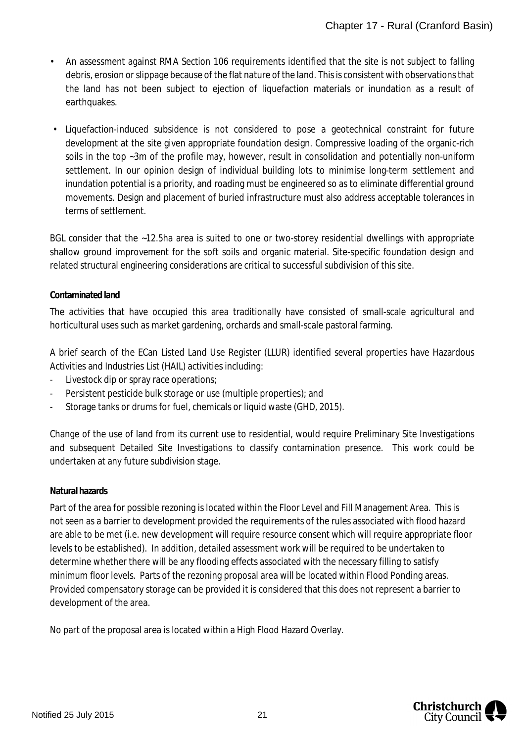- An assessment against RMA Section 106 requirements identified that the site is not subject to falling debris, erosion or slippage because of the flat nature of the land. This is consistent with observations that the land has not been subject to ejection of liquefaction materials or inundation as a result of earthquakes.
- Liquefaction-induced subsidence is not considered to pose a geotechnical constraint for future development at the site given appropriate foundation design. Compressive loading of the organic-rich soils in the top ~3m of the profile may, however, result in consolidation and potentially non-uniform settlement. In our opinion design of individual building lots to minimise long-term settlement and inundation potential is a priority, and roading must be engineered so as to eliminate differential ground movements. Design and placement of buried infrastructure must also address acceptable tolerances in terms of settlement.

BGL consider that the ~12.5ha area is suited to one or two-storey residential dwellings with appropriate shallow ground improvement for the soft soils and organic material. Site-specific foundation design and related structural engineering considerations are critical to successful subdivision of this site.

## **Contaminated land**

The activities that have occupied this area traditionally have consisted of small-scale agricultural and horticultural uses such as market gardening, orchards and small-scale pastoral farming.

A brief search of the ECan Listed Land Use Register (LLUR) identified several properties have Hazardous Activities and Industries List (HAIL) activities including:

- Livestock dip or spray race operations;
- Persistent pesticide bulk storage or use (multiple properties); and
- Storage tanks or drums for fuel, chemicals or liquid waste (GHD, 2015).

Change of the use of land from its current use to residential, would require Preliminary Site Investigations and subsequent Detailed Site Investigations to classify contamination presence. This work could be undertaken at any future subdivision stage.

## **Natural hazards**

Part of the area for possible rezoning is located within the Floor Level and Fill Management Area. This is not seen as a barrier to development provided the requirements of the rules associated with flood hazard are able to be met (i.e. new development will require resource consent which will require appropriate floor levels to be established). In addition, detailed assessment work will be required to be undertaken to determine whether there will be any flooding effects associated with the necessary filling to satisfy minimum floor levels. Parts of the rezoning proposal area will be located within Flood Ponding areas. Provided compensatory storage can be provided it is considered that this does not represent a barrier to development of the area.

No part of the proposal area is located within a High Flood Hazard Overlay.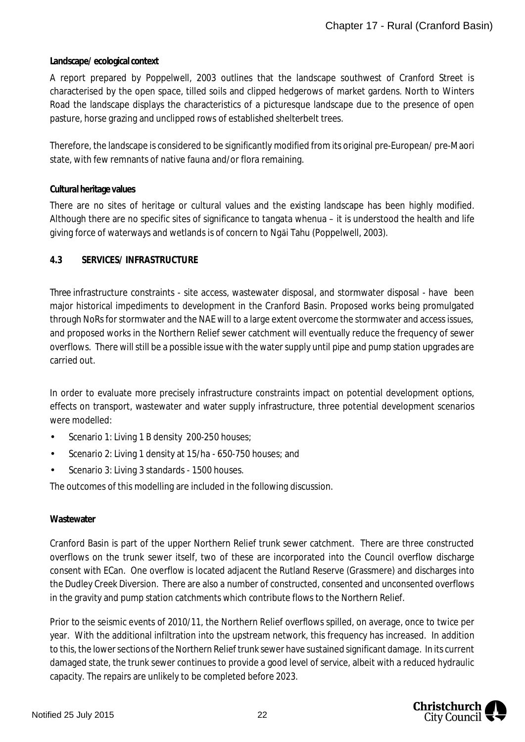#### **Landscape/ ecological context**

A report prepared by Poppelwell, 2003 outlines that the landscape southwest of Cranford Street is characterised by the open space, tilled soils and clipped hedgerows of market gardens. North to Winters Road the landscape displays the characteristics of a picturesque landscape due to the presence of open pasture, horse grazing and unclipped rows of established shelterbelt trees.

Therefore, the landscape is considered to be significantly modified from its original pre-European/ pre-Maori state, with few remnants of native fauna and/or flora remaining.

#### **Cultural heritage values**

There are no sites of heritage or cultural values and the existing landscape has been highly modified. Although there are no specific sites of significance to tangata whenua – it is understood the health and life giving force of waterways and wetlands is of concern to Ngāi Tahu (Poppelwell, 2003).

#### **4.3 SERVICES/ INFRASTRUCTURE**

Three infrastructure constraints - site access, wastewater disposal, and stormwater disposal - have been major historical impediments to development in the Cranford Basin. Proposed works being promulgated through NoRs for stormwater and the NAE will to a large extent overcome the stormwater and access issues, and proposed works in the Northern Relief sewer catchment will eventually reduce the frequency of sewer overflows. There will still be a possible issue with the water supply until pipe and pump station upgrades are carried out.

In order to evaluate more precisely infrastructure constraints impact on potential development options, effects on transport, wastewater and water supply infrastructure, three potential development scenarios were modelled:

- J. Scenario 1: Living 1 B density 200-250 houses;
- Scenario 2: Living 1 density at 15/ha 650-750 houses; and
- Scenario 3: Living 3 standards 1500 houses.

The outcomes of this modelling are included in the following discussion.

## **Wastewater**

Cranford Basin is part of the upper Northern Relief trunk sewer catchment. There are three constructed overflows on the trunk sewer itself, two of these are incorporated into the Council overflow discharge consent with ECan. One overflow is located adjacent the Rutland Reserve (Grassmere) and discharges into the Dudley Creek Diversion. There are also a number of constructed, consented and unconsented overflows in the gravity and pump station catchments which contribute flows to the Northern Relief.

Prior to the seismic events of 2010/11, the Northern Relief overflows spilled, on average, once to twice per year. With the additional infiltration into the upstream network, this frequency has increased. In addition to this, the lower sections of the Northern Relief trunk sewer have sustained significant damage. In its current damaged state, the trunk sewer continues to provide a good level of service, albeit with a reduced hydraulic capacity. The repairs are unlikely to be completed before 2023.

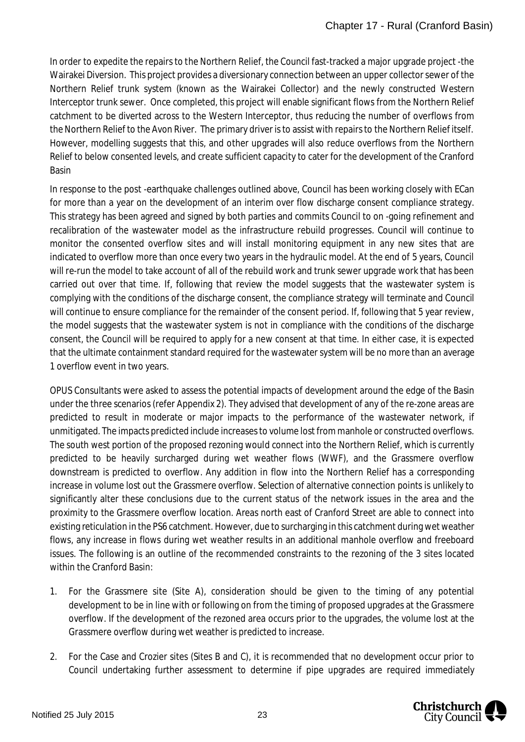In order to expedite the repairs to the Northern Relief, the Council fast-tracked a major upgrade project -the Wairakei Diversion. This project provides a diversionary connection between an upper collector sewer of the Northern Relief trunk system (known as the Wairakei Collector) and the newly constructed Western Interceptor trunk sewer. Once completed, this project will enable significant flows from the Northern Relief catchment to be diverted across to the Western Interceptor, thus reducing the number of overflows from the Northern Relief to the Avon River. The primary driver is to assist with repairs to the Northern Relief itself. However, modelling suggests that this, and other upgrades will also reduce overflows from the Northern Relief to below consented levels, and create sufficient capacity to cater for the development of the Cranford Basin

In response to the post -earthquake challenges outlined above, Council has been working closely with ECan for more than a year on the development of an interim over flow discharge consent compliance strategy. This strategy has been agreed and signed by both parties and commits Council to on -going refinement and recalibration of the wastewater model as the infrastructure rebuild progresses. Council will continue to monitor the consented overflow sites and will install monitoring equipment in any new sites that are indicated to overflow more than once every two years in the hydraulic model. At the end of 5 years, Council will re-run the model to take account of all of the rebuild work and trunk sewer upgrade work that has been carried out over that time. If, following that review the model suggests that the wastewater system is complying with the conditions of the discharge consent, the compliance strategy will terminate and Council will continue to ensure compliance for the remainder of the consent period. If, following that 5 year review, the model suggests that the wastewater system is not in compliance with the conditions of the discharge consent, the Council will be required to apply for a new consent at that time. In either case, it is expected that the ultimate containment standard required for the wastewater system will be no more than an average 1 overflow event in two years.

OPUS Consultants were asked to assess the potential impacts of development around the edge of the Basin under the three scenarios (refer Appendix 2). They advised that development of any of the re-zone areas are predicted to result in moderate or major impacts to the performance of the wastewater network, if unmitigated. The impacts predicted include increases to volume lost from manhole or constructed overflows. The south west portion of the proposed rezoning would connect into the Northern Relief, which is currently predicted to be heavily surcharged during wet weather flows (WWF), and the Grassmere overflow downstream is predicted to overflow. Any addition in flow into the Northern Relief has a corresponding increase in volume lost out the Grassmere overflow. Selection of alternative connection points is unlikely to significantly alter these conclusions due to the current status of the network issues in the area and the proximity to the Grassmere overflow location. Areas north east of Cranford Street are able to connect into existing reticulation in the PS6 catchment. However, due to surcharging in this catchment during wet weather flows, any increase in flows during wet weather results in an additional manhole overflow and freeboard issues. The following is an outline of the recommended constraints to the rezoning of the 3 sites located within the Cranford Basin:

- 1. For the Grassmere site (Site A), consideration should be given to the timing of any potential development to be in line with or following on from the timing of proposed upgrades at the Grassmere overflow. If the development of the rezoned area occurs prior to the upgrades, the volume lost at the Grassmere overflow during wet weather is predicted to increase.
- 2. For the Case and Crozier sites (Sites B and C), it is recommended that no development occur prior to Council undertaking further assessment to determine if pipe upgrades are required immediately

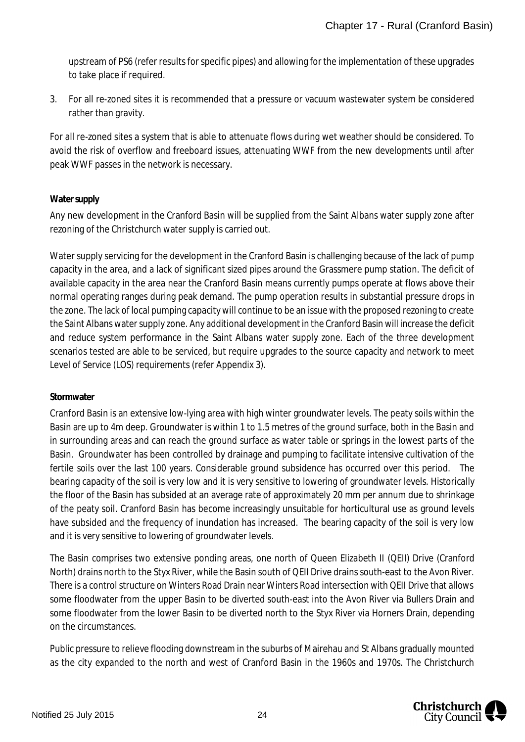upstream of PS6 (refer results for specific pipes) and allowing for the implementation of these upgrades to take place if required.

3. For all re-zoned sites it is recommended that a pressure or vacuum wastewater system be considered rather than gravity.

For all re-zoned sites a system that is able to attenuate flows during wet weather should be considered. To avoid the risk of overflow and freeboard issues, attenuating WWF from the new developments until after peak WWF passes in the network is necessary.

## **Water supply**

Any new development in the Cranford Basin will be supplied from the Saint Albans water supply zone after rezoning of the Christchurch water supply is carried out.

Water supply servicing for the development in the Cranford Basin is challenging because of the lack of pump capacity in the area, and a lack of significant sized pipes around the Grassmere pump station. The deficit of available capacity in the area near the Cranford Basin means currently pumps operate at flows above their normal operating ranges during peak demand. The pump operation results in substantial pressure drops in the zone. The lack of local pumping capacity will continue to be an issue with the proposed rezoning to create the Saint Albans water supply zone. Any additional development in the Cranford Basin will increase the deficit and reduce system performance in the Saint Albans water supply zone. Each of the three development scenarios tested are able to be serviced, but require upgrades to the source capacity and network to meet Level of Service (LOS) requirements (refer Appendix 3).

## **Stormwater**

Cranford Basin is an extensive low-lying area with high winter groundwater levels. The peaty soils within the Basin are up to 4m deep. Groundwater is within 1 to 1.5 metres of the ground surface, both in the Basin and in surrounding areas and can reach the ground surface as water table or springs in the lowest parts of the Basin. Groundwater has been controlled by drainage and pumping to facilitate intensive cultivation of the fertile soils over the last 100 years. Considerable ground subsidence has occurred over this period. The bearing capacity of the soil is very low and it is very sensitive to lowering of groundwater levels. Historically the floor of the Basin has subsided at an average rate of approximately 20 mm per annum due to shrinkage of the peaty soil. Cranford Basin has become increasingly unsuitable for horticultural use as ground levels have subsided and the frequency of inundation has increased. The bearing capacity of the soil is very low and it is very sensitive to lowering of groundwater levels.

The Basin comprises two extensive ponding areas, one north of Queen Elizabeth II (QEII) Drive (Cranford North) drains north to the Styx River, while the Basin south of QEII Drive drains south-east to the Avon River. There is a control structure on Winters Road Drain near Winters Road intersection with QEII Drive that allows some floodwater from the upper Basin to be diverted south-east into the Avon River via Bullers Drain and some floodwater from the lower Basin to be diverted north to the Styx River via Horners Drain, depending on the circumstances.

Public pressure to relieve flooding downstream in the suburbs of Mairehau and St Albans gradually mounted as the city expanded to the north and west of Cranford Basin in the 1960s and 1970s. The Christchurch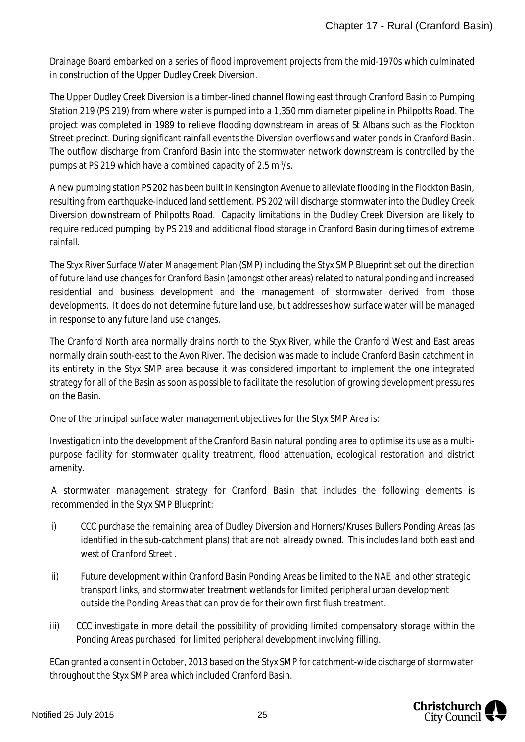Drainage Board embarked on a series of flood improvement projects from the mid-1970s which culminated in construction of the Upper Dudley Creek Diversion.

The Upper Dudley Creek Diversion is a timber-lined channel flowing east through Cranford Basin to Pumping Station 219 (PS 219) from where water is pumped into a 1,350 mm diameter pipeline in Philpotts Road. The project was completed in 1989 to relieve flooding downstream in areas of St Albans such as the Flockton Street precinct. During significant rainfall events the Diversion overflows and water ponds in Cranford Basin. The outflow discharge from Cranford Basin into the stormwater network downstream is controlled by the pumps at PS 219 which have a combined capacity of 2.5  $m^3/s$ .

A new pumping station PS 202 has been built in Kensington Avenue to alleviate flooding in the Flockton Basin, resulting from earthquake-induced land settlement. PS 202 will discharge stormwater into the Dudley Creek Diversion downstream of Philpotts Road. Capacity limitations in the Dudley Creek Diversion are likely to require reduced pumping by PS 219 and additional flood storage in Cranford Basin during times of extreme rainfall.

The Styx River Surface Water Management Plan (SMP) including the Styx SMP Blueprint set out the direction of future land use changes for Cranford Basin (amongst other areas) related to natural ponding and increased residential and business development and the management of stormwater derived from those developments. It does do not determine future land use, but addresses how surface water will be managed in response to any future land use changes.

The Cranford North area normally drains north to the Styx River, while the Cranford West and East areas normally drain south-east to the Avon River. The decision was made to include Cranford Basin catchment in its entirety in the Styx SMP area because it was considered important to implement the one integrated strategy for all of the Basin as soon as possible to facilitate the resolution of growing development pressures on the Basin.

One of the principal surface water management objectives for the Styx SMP Area is:

*Investigation into the development of the Cranford Basin natural ponding area to optimise its use as a multipurpose facility for stormwater quality treatment, flood attenuation, ecological restoration and district amenity.*

A stormwater management strategy for Cranford Basin that includes the following elements is recommended in the Styx SMP Blueprint:

- i) *CCC purchase the remaining area of Dudley Diversion and Horners/Kruses Bullers Ponding Areas (as identified in the sub-catchment plans) that are not already owned. This includes land both east and west of Cranford Street .*
- *ii) Future development within Cranford Basin Ponding Areas be limited to the NAE and other strategic transport links, and stormwater treatment wetlands for limited peripheral urban development outside the Ponding Areas that can provide for their own first flush treatment.*
- *iii) CCC investigate in more detail the possibility of providing limited compensatory storage within the Ponding Areas purchased for limited peripheral development involving filling*.

ECan granted a consent in October, 2013 based on the Styx SMP for catchment-wide discharge of stormwater throughout the Styx SMP area which included Cranford Basin.

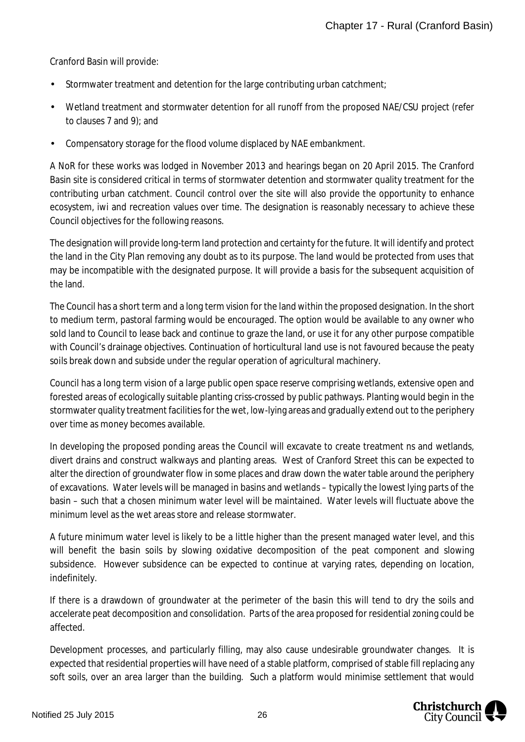Cranford Basin will provide:

- Stormwater treatment and detention for the large contributing urban catchment; ä,
- Wetland treatment and stormwater detention for all runoff from the proposed NAE/CSU project (refer to clauses 7 and 9); and
- Compensatory storage for the flood volume displaced by NAE embankment. ä,

A NoR for these works was lodged in November 2013 and hearings began on 20 April 2015. The Cranford Basin site is considered critical in terms of stormwater detention and stormwater quality treatment for the contributing urban catchment. Council control over the site will also provide the opportunity to enhance ecosystem, iwi and recreation values over time. The designation is reasonably necessary to achieve these Council objectives for the following reasons.

The designation will provide long-term land protection and certainty for the future. It will identify and protect the land in the City Plan removing any doubt as to its purpose. The land would be protected from uses that may be incompatible with the designated purpose. It will provide a basis for the subsequent acquisition of the land.

The Council has a short term and a long term vision for the land within the proposed designation. In the short to medium term, pastoral farming would be encouraged. The option would be available to any owner who sold land to Council to lease back and continue to graze the land, or use it for any other purpose compatible with Council's drainage objectives. Continuation of horticultural land use is not favoured because the peaty soils break down and subside under the regular operation of agricultural machinery.

Council has a long term vision of a large public open space reserve comprising wetlands, extensive open and forested areas of ecologically suitable planting criss-crossed by public pathways. Planting would begin in the stormwater quality treatment facilities for the wet, low-lying areas and gradually extend out to the periphery over time as money becomes available.

In developing the proposed ponding areas the Council will excavate to create treatment ns and wetlands, divert drains and construct walkways and planting areas. West of Cranford Street this can be expected to alter the direction of groundwater flow in some places and draw down the water table around the periphery of excavations. Water levels will be managed in basins and wetlands – typically the lowest lying parts of the basin – such that a chosen minimum water level will be maintained. Water levels will fluctuate above the minimum level as the wet areas store and release stormwater.

A future minimum water level is likely to be a little higher than the present managed water level, and this will benefit the basin soils by slowing oxidative decomposition of the peat component and slowing subsidence. However subsidence can be expected to continue at varying rates, depending on location, indefinitely.

If there is a drawdown of groundwater at the perimeter of the basin this will tend to dry the soils and accelerate peat decomposition and consolidation. Parts of the area proposed for residential zoning could be affected.

Development processes, and particularly filling, may also cause undesirable groundwater changes. It is expected that residential properties will have need of a stable platform, comprised of stable fill replacing any soft soils, over an area larger than the building. Such a platform would minimise settlement that would

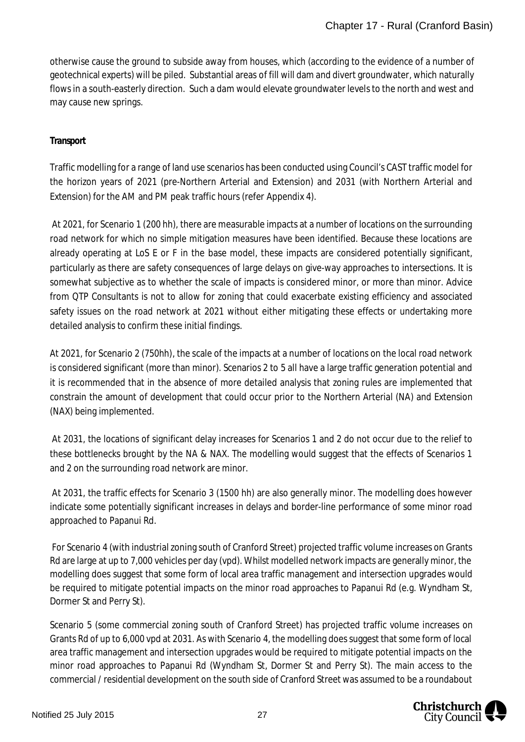otherwise cause the ground to subside away from houses, which (according to the evidence of a number of geotechnical experts) will be piled. Substantial areas of fill will dam and divert groundwater, which naturally flows in a south-easterly direction. Such a dam would elevate groundwater levels to the north and west and may cause new springs.

## **Transport**

Traffic modelling for a range of land use scenarios has been conducted using Council's CAST traffic model for the horizon years of 2021 (pre-Northern Arterial and Extension) and 2031 (with Northern Arterial and Extension) for the AM and PM peak traffic hours (refer Appendix 4).

 At 2021, for Scenario 1 (200 hh), there are measurable impacts at a number of locations on the surrounding road network for which no simple mitigation measures have been identified. Because these locations are already operating at LoS E or F in the base model, these impacts are considered potentially significant, particularly as there are safety consequences of large delays on give-way approaches to intersections. It is somewhat subjective as to whether the scale of impacts is considered minor, or more than minor. Advice from QTP Consultants is not to allow for zoning that could exacerbate existing efficiency and associated safety issues on the road network at 2021 without either mitigating these effects or undertaking more detailed analysis to confirm these initial findings.

At 2021, for Scenario 2 (750hh), the scale of the impacts at a number of locations on the local road network is considered significant (more than minor). Scenarios 2 to 5 all have a large traffic generation potential and it is recommended that in the absence of more detailed analysis that zoning rules are implemented that constrain the amount of development that could occur prior to the Northern Arterial (NA) and Extension (NAX) being implemented.

 At 2031, the locations of significant delay increases for Scenarios 1 and 2 do not occur due to the relief to these bottlenecks brought by the NA & NAX. The modelling would suggest that the effects of Scenarios 1 and 2 on the surrounding road network are minor.

 At 2031, the traffic effects for Scenario 3 (1500 hh) are also generally minor. The modelling does however indicate some potentially significant increases in delays and border-line performance of some minor road approached to Papanui Rd.

 For Scenario 4 (with industrial zoning south of Cranford Street) projected traffic volume increases on Grants Rd are large at up to 7,000 vehicles per day (vpd). Whilst modelled network impacts are generally minor, the modelling does suggest that some form of local area traffic management and intersection upgrades would be required to mitigate potential impacts on the minor road approaches to Papanui Rd (e.g. Wyndham St, Dormer St and Perry St).

Scenario 5 (some commercial zoning south of Cranford Street) has projected traffic volume increases on Grants Rd of up to 6,000 vpd at 2031. As with Scenario 4, the modelling does suggest that some form of local area traffic management and intersection upgrades would be required to mitigate potential impacts on the minor road approaches to Papanui Rd (Wyndham St, Dormer St and Perry St). The main access to the commercial / residential development on the south side of Cranford Street was assumed to be a roundabout

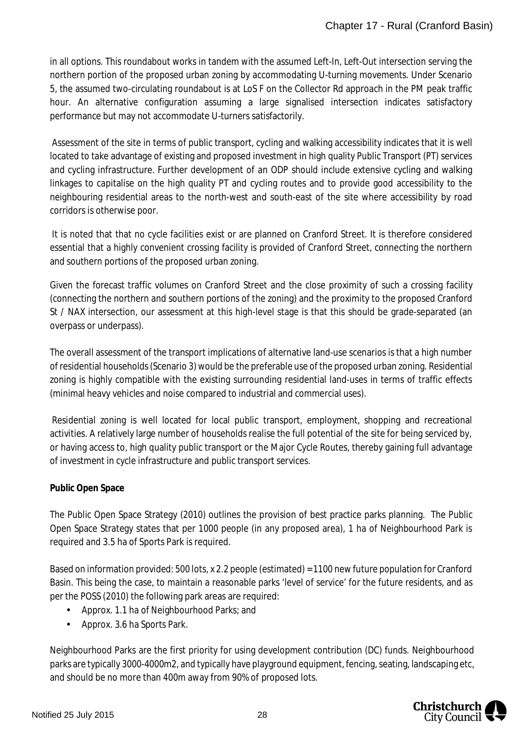in all options. This roundabout works in tandem with the assumed Left-In, Left-Out intersection serving the northern portion of the proposed urban zoning by accommodating U-turning movements. Under Scenario 5, the assumed two-circulating roundabout is at LoS F on the Collector Rd approach in the PM peak traffic hour. An alternative configuration assuming a large signalised intersection indicates satisfactory performance but may not accommodate U-turners satisfactorily.

 Assessment of the site in terms of public transport, cycling and walking accessibility indicates that it is well located to take advantage of existing and proposed investment in high quality Public Transport (PT) services and cycling infrastructure. Further development of an ODP should include extensive cycling and walking linkages to capitalise on the high quality PT and cycling routes and to provide good accessibility to the neighbouring residential areas to the north-west and south-east of the site where accessibility by road corridors is otherwise poor.

 It is noted that that no cycle facilities exist or are planned on Cranford Street. It is therefore considered essential that a highly convenient crossing facility is provided of Cranford Street, connecting the northern and southern portions of the proposed urban zoning.

Given the forecast traffic volumes on Cranford Street and the close proximity of such a crossing facility (connecting the northern and southern portions of the zoning) and the proximity to the proposed Cranford St / NAX intersection, our assessment at this high-level stage is that this should be grade-separated (an overpass or underpass).

The overall assessment of the transport implications of alternative land-use scenarios is that a high number of residential households (Scenario 3) would be the preferable use of the proposed urban zoning. Residential zoning is highly compatible with the existing surrounding residential land-uses in terms of traffic effects (minimal heavy vehicles and noise compared to industrial and commercial uses).

 Residential zoning is well located for local public transport, employment, shopping and recreational activities. A relatively large number of households realise the full potential of the site for being serviced by, or having access to, high quality public transport or the Major Cycle Routes, thereby gaining full advantage of investment in cycle infrastructure and public transport services.

## **Public Open Space**

The Public Open Space Strategy (2010) outlines the provision of best practice parks planning. The Public Open Space Strategy states that per 1000 people (in any proposed area), 1 ha of Neighbourhood Park is required and 3.5 ha of Sports Park is required.

Based on information provided: 500 lots, x 2.2 people (estimated) = 1100 new future population for Cranford Basin. This being the case, to maintain a reasonable parks 'level of service' for the future residents, and as per the POSS (2010) the following park areas are required:

- $\mathcal{L}^{\text{max}}$ Approx. 1.1 ha of Neighbourhood Parks; and
- Approx. 3.6 ha Sports Park.  $\mathbf{r}$

Neighbourhood Parks are the first priority for using development contribution (DC) funds. Neighbourhood parks are typically 3000-4000m2, and typically have playground equipment, fencing, seating, landscaping etc, and should be no more than 400m away from 90% of proposed lots.

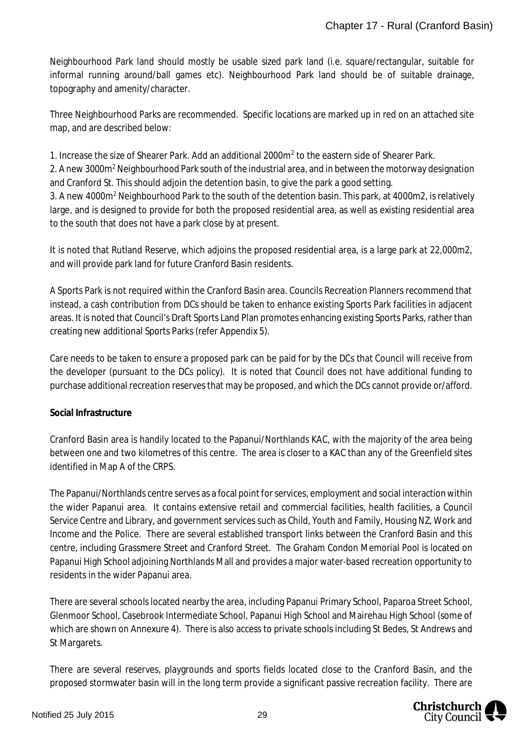Neighbourhood Park land should mostly be usable sized park land (i.e. square/rectangular, suitable for informal running around/ball games etc). Neighbourhood Park land should be of suitable drainage, topography and amenity/character.

Three Neighbourhood Parks are recommended. Specific locations are marked up in red on an attached site map, and are described below:

1. Increase the size of Shearer Park. Add an additional 2000m<sup>2</sup> to the eastern side of Shearer Park.

2. A new 3000m<sup>2</sup> Neighbourhood Park south of the industrial area, and in between the motorway designation and Cranford St. This should adjoin the detention basin, to give the park a good setting.

3. A new 4000m<sup>2</sup> Neighbourhood Park to the south of the detention basin. This park, at 4000m2, is relatively large, and is designed to provide for both the proposed residential area, as well as existing residential area to the south that does not have a park close by at present.

It is noted that Rutland Reserve, which adjoins the proposed residential area, is a large park at 22,000m2, and will provide park land for future Cranford Basin residents.

A Sports Park is not required within the Cranford Basin area. Councils Recreation Planners recommend that instead, a cash contribution from DCs should be taken to enhance existing Sports Park facilities in adjacent areas. It is noted that Council's Draft Sports Land Plan promotes enhancing existing Sports Parks, rather than creating new additional Sports Parks (refer Appendix 5).

Care needs to be taken to ensure a proposed park can be paid for by the DCs that Council will receive from the developer (pursuant to the DCs policy). It is noted that Council does not have additional funding to purchase additional recreation reserves that may be proposed, and which the DCs cannot provide or/afford.

# **Social Infrastructure**

Cranford Basin area is handily located to the Papanui/Northlands KAC, with the majority of the area being between one and two kilometres of this centre. The area is closer to a KAC than any of the Greenfield sites identified in Map A of the CRPS.

The Papanui/Northlands centre serves as a focal point for services, employment and social interaction within the wider Papanui area. It contains extensive retail and commercial facilities, health facilities, a Council Service Centre and Library, and government services such as Child, Youth and Family, Housing NZ, Work and Income and the Police. There are several established transport links between the Cranford Basin and this centre, including Grassmere Street and Cranford Street. The Graham Condon Memorial Pool is located on Papanui High School adjoining Northlands Mall and provides a major water-based recreation opportunity to residents in the wider Papanui area.

There are several schools located nearby the area, including Papanui Primary School, Paparoa Street School, Glenmoor School, Casebrook Intermediate School, Papanui High School and Mairehau High School (some of which are shown on Annexure 4). There is also access to private schools including St Bedes, St Andrews and St Margarets.

There are several reserves, playgrounds and sports fields located close to the Cranford Basin, and the proposed stormwater basin will in the long term provide a significant passive recreation facility. There are

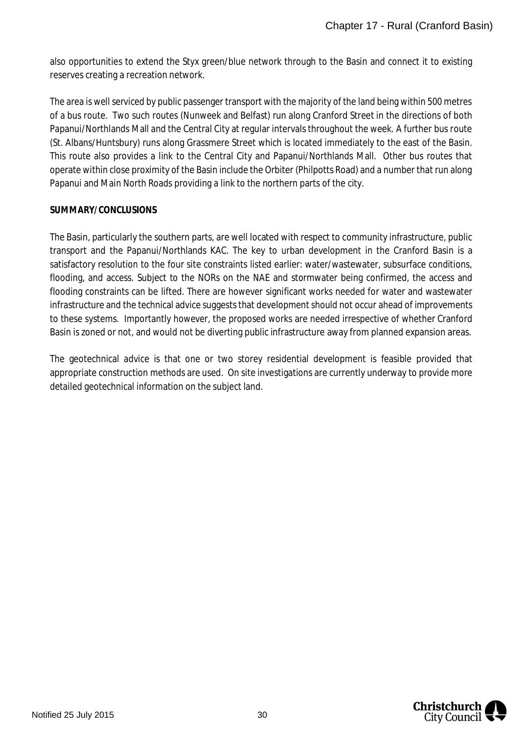also opportunities to extend the Styx green/blue network through to the Basin and connect it to existing reserves creating a recreation network.

The area is well serviced by public passenger transport with the majority of the land being within 500 metres of a bus route. Two such routes (Nunweek and Belfast) run along Cranford Street in the directions of both Papanui/Northlands Mall and the Central City at regular intervals throughout the week. A further bus route (St. Albans/Huntsbury) runs along Grassmere Street which is located immediately to the east of the Basin. This route also provides a link to the Central City and Papanui/Northlands Mall. Other bus routes that operate within close proximity of the Basin include the Orbiter (Philpotts Road) and a number that run along Papanui and Main North Roads providing a link to the northern parts of the city.

#### **SUMMARY/CONCLUSIONS**

The Basin, particularly the southern parts, are well located with respect to community infrastructure, public transport and the Papanui/Northlands KAC. The key to urban development in the Cranford Basin is a satisfactory resolution to the four site constraints listed earlier: water/wastewater, subsurface conditions, flooding, and access. Subject to the NORs on the NAE and stormwater being confirmed, the access and flooding constraints can be lifted. There are however significant works needed for water and wastewater infrastructure and the technical advice suggests that development should not occur ahead of improvements to these systems. Importantly however, the proposed works are needed irrespective of whether Cranford Basin is zoned or not, and would not be diverting public infrastructure away from planned expansion areas.

The geotechnical advice is that one or two storey residential development is feasible provided that appropriate construction methods are used. On site investigations are currently underway to provide more detailed geotechnical information on the subject land.

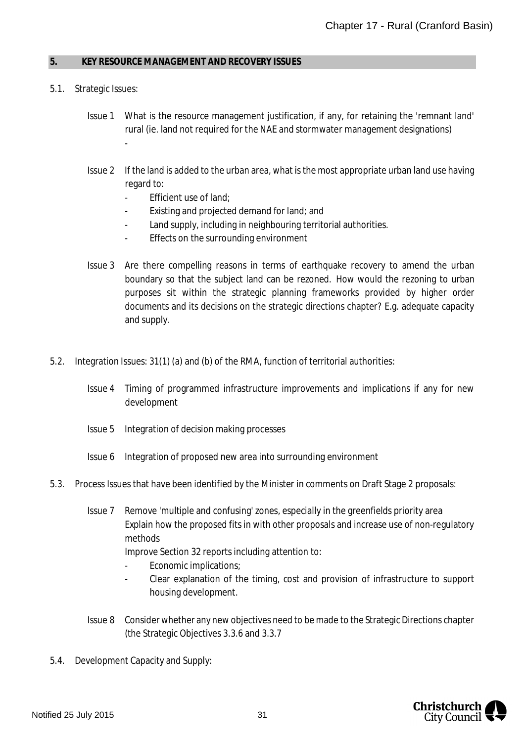#### <span id="page-31-0"></span>**5. KEY RESOURCE MANAGEMENT AND RECOVERY ISSUES**

- 5.1. Strategic Issues:
	- Issue 1 What is the resource management justification, if any, for retaining the 'remnant land' rural (ie. land not required for the NAE and stormwater management designations) -
	- Issue 2 If the land is added to the urban area, what is the most appropriate urban land use having regard to:
		- Efficient use of land;
		- Existing and projected demand for land; and
		- Land supply, including in neighbouring territorial authorities.
		- Effects on the surrounding environment
	- Issue 3 Are there compelling reasons in terms of earthquake recovery to amend the urban boundary so that the subject land can be rezoned. How would the rezoning to urban purposes sit within the strategic planning frameworks provided by higher order documents and its decisions on the strategic directions chapter? E.g. adequate capacity and supply.
- 5.2. Integration Issues: 31(1) (a) and (b) of the RMA, function of territorial authorities:
	- Issue 4 Timing of programmed infrastructure improvements and implications if any for new development
	- Issue 5 Integration of decision making processes
	- Issue 6 Integration of proposed new area into surrounding environment
- 5.3. Process Issues that have been identified by the Minister in comments on Draft Stage 2 proposals:
	- Issue 7 Remove 'multiple and confusing' zones, especially in the greenfields priority area Explain how the proposed fits in with other proposals and increase use of non-regulatory methods Improve Section 32 reports including attention to:
		- Economic implications;
		- Clear explanation of the timing, cost and provision of infrastructure to support housing development.
	- Issue 8 Consider whether any new objectives need to be made to the Strategic Directions chapter (the Strategic Objectives 3.3.6 and 3.3.7
- 5.4. Development Capacity and Supply:

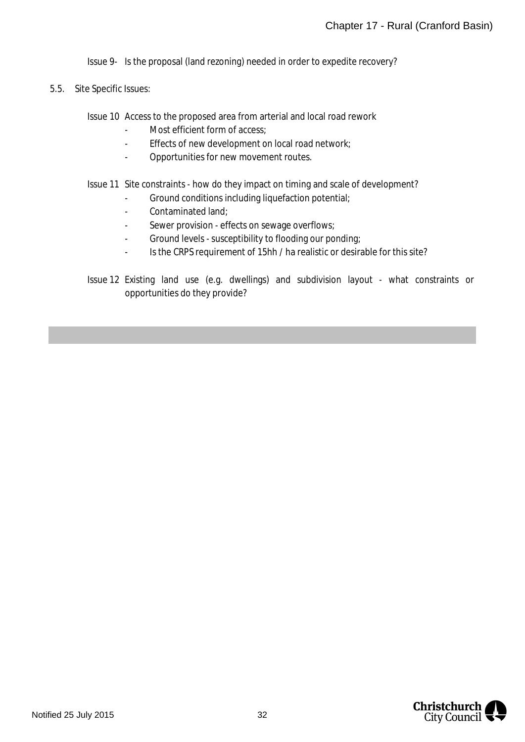Issue 9- Is the proposal (land rezoning) needed in order to expedite recovery?

5.5. Site Specific Issues:

Issue 10 Access to the proposed area from arterial and local road rework

- Most efficient form of access;
- Effects of new development on local road network;
- Opportunities for new movement routes.

#### Issue 11 Site constraints - how do they impact on timing and scale of development?

- Ground conditions including liquefaction potential;
- Contaminated land;
- Sewer provision effects on sewage overflows;
- Ground levels susceptibility to flooding our ponding;
- Is the CRPS requirement of 15hh / ha realistic or desirable for this site?
- Issue 12 Existing land use (e.g. dwellings) and subdivision layout what constraints or opportunities do they provide?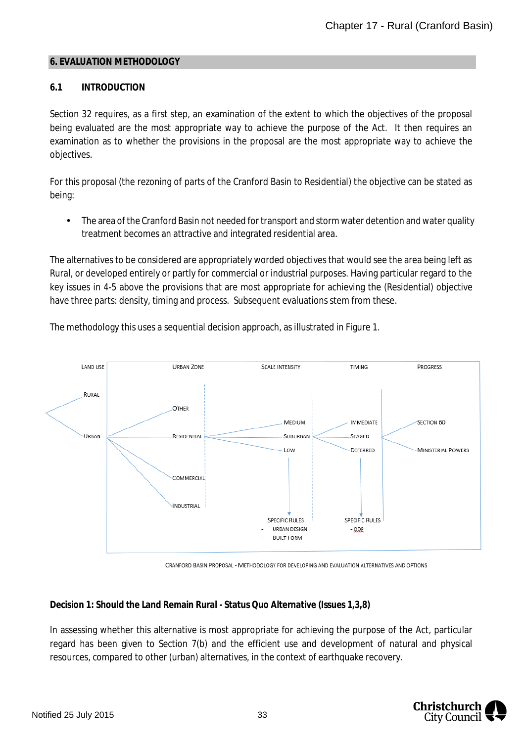#### <span id="page-33-0"></span>**6. EVALUATION METHODOLOGY**

## **6.1 INTRODUCTION**

Section 32 requires, as a first step, an examination of the extent to which the objectives of the proposal being evaluated are the most appropriate way to achieve the purpose of the Act. It then requires an examination as to whether the provisions in the proposal are the most appropriate way to achieve the objectives.

For this proposal (the rezoning of parts of the Cranford Basin to Residential) the objective can be stated as being:

The area of the Cranford Basin not needed for transport and storm water detention and water quality treatment becomes an attractive and integrated residential area.

The alternatives to be considered are appropriately worded objectives that would see the area being left as Rural, or developed entirely or partly for commercial or industrial purposes. Having particular regard to the key issues in 4-5 above the provisions that are most appropriate for achieving the (Residential) objective have three parts: density, timing and process. Subsequent evaluations stem from these.

The methodology this uses a sequential decision approach, as illustrated in Figure 1.



CRANFORD BASIN PROPOSAL - METHODOLOGY FOR DEVELOPING AND EVALUATION ALTERNATIVES AND OPTIONS

**Decision 1: Should the Land Remain Rural - Status Quo Alternative (Issues 1,3,8)**

In assessing whether this alternative is most appropriate for achieving the purpose of the Act, particular regard has been given to Section 7(b) and the efficient use and development of natural and physical resources, compared to other (urban) alternatives, in the context of earthquake recovery.

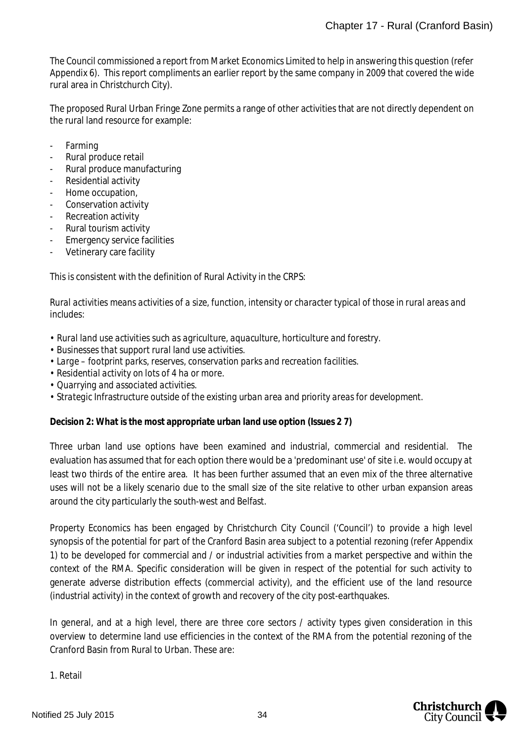The Council commissioned a report from Market Economics Limited to help in answering this question (refer Appendix 6). This report compliments an earlier report by the same company in 2009 that covered the wide rural area in Christchurch City).

The proposed Rural Urban Fringe Zone permits a range of other activities that are not directly dependent on the rural land resource for example:

- Farming
- Rural produce retail
- Rural produce manufacturing
- Residential activity
- Home occupation,
- Conservation activity
- Recreation activity
- Rural tourism activity
- Emergency service facilities
- Vetinerary care facility

This is consistent with the definition of Rural Activity in the CRPS:

*Rural activities means activities of a size, function, intensity or character typical of those in rural areas and includes:*

- *Rural land use activities such as agriculture, aquaculture, horticulture and forestry.*
- *Businesses that support rural land use activities.*
- *Large footprint parks, reserves, conservation parks and recreation facilities.*
- *Residential activity on lots of 4 ha or more.*
- *Quarrying and associated activities.*
- *Strategic Infrastructure outside of the existing urban area and priority areas for development.*

**Decision 2: What is the most appropriate urban land use option (Issues 2 7)**

Three urban land use options have been examined and industrial, commercial and residential. The evaluation has assumed that for each option there would be a 'predominant use' of site i.e. would occupy at least two thirds of the entire area. It has been further assumed that an even mix of the three alternative uses will not be a likely scenario due to the small size of the site relative to other urban expansion areas around the city particularly the south-west and Belfast.

Property Economics has been engaged by Christchurch City Council ('Council') to provide a high level synopsis of the potential for part of the Cranford Basin area subject to a potential rezoning (refer Appendix 1) to be developed for commercial and / or industrial activities from a market perspective and within the context of the RMA. Specific consideration will be given in respect of the potential for such activity to generate adverse distribution effects (commercial activity), and the efficient use of the land resource (industrial activity) in the context of growth and recovery of the city post-earthquakes.

In general, and at a high level, there are three core sectors / activity types given consideration in this overview to determine land use efficiencies in the context of the RMA from the potential rezoning of the Cranford Basin from Rural to Urban. These are:

1. Retail

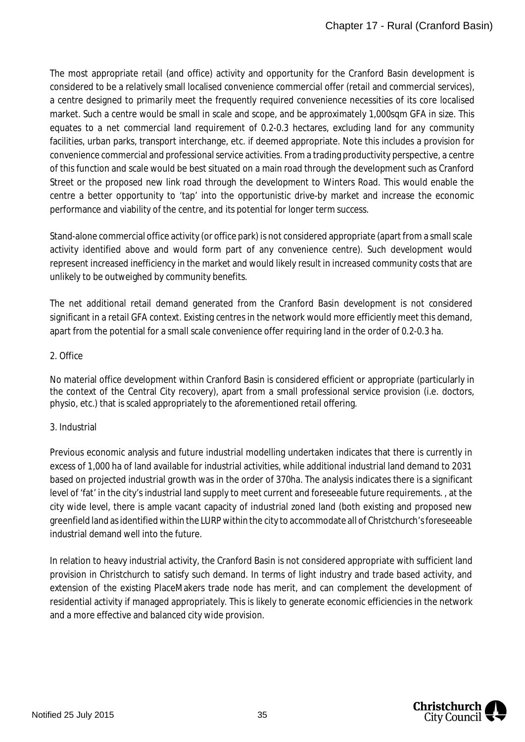The most appropriate retail (and office) activity and opportunity for the Cranford Basin development is considered to be a relatively small localised convenience commercial offer (retail and commercial services), a centre designed to primarily meet the frequently required convenience necessities of its core localised market. Such a centre would be small in scale and scope, and be approximately 1,000sqm GFA in size. This equates to a net commercial land requirement of 0.2-0.3 hectares, excluding land for any community facilities, urban parks, transport interchange, etc. if deemed appropriate. Note this includes a provision for convenience commercial and professional service activities. From a trading productivity perspective, a centre of this function and scale would be best situated on a main road through the development such as Cranford Street or the proposed new link road through the development to Winters Road. This would enable the centre a better opportunity to 'tap' into the opportunistic drive-by market and increase the economic performance and viability of the centre, and its potential for longer term success.

Stand-alone commercial office activity (or office park) is not considered appropriate (apart from a small scale activity identified above and would form part of any convenience centre). Such development would represent increased inefficiency in the market and would likely result in increased community costs that are unlikely to be outweighed by community benefits.

The net additional retail demand generated from the Cranford Basin development is not considered significant in a retail GFA context. Existing centres in the network would more efficiently meet this demand, apart from the potential for a small scale convenience offer requiring land in the order of 0.2-0.3 ha.

## 2. Office

No material office development within Cranford Basin is considered efficient or appropriate (particularly in the context of the Central City recovery), apart from a small professional service provision (i.e. doctors, physio, etc.) that is scaled appropriately to the aforementioned retail offering.

# 3. Industrial

Previous economic analysis and future industrial modelling undertaken indicates that there is currently in excess of 1,000 ha of land available for industrial activities, while additional industrial land demand to 2031 based on projected industrial growth was in the order of 370ha. The analysis indicates there is a significant level of 'fat' in the city's industrial land supply to meet current and foreseeable future requirements. , at the city wide level, there is ample vacant capacity of industrial zoned land (both existing and proposed new greenfield land as identified within the LURP within the city to accommodate all of Christchurch's foreseeable industrial demand well into the future.

In relation to heavy industrial activity, the Cranford Basin is not considered appropriate with sufficient land provision in Christchurch to satisfy such demand. In terms of light industry and trade based activity, and extension of the existing PlaceMakers trade node has merit, and can complement the development of residential activity if managed appropriately. This is likely to generate economic efficiencies in the network and a more effective and balanced city wide provision.

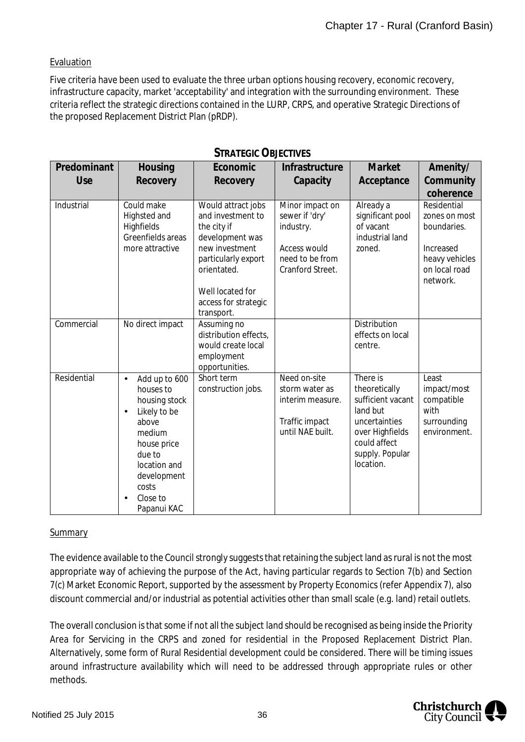## **Evaluation**

Five criteria have been used to evaluate the three urban options housing recovery, economic recovery, infrastructure capacity, market 'acceptability' and integration with the surrounding environment. These criteria reflect the strategic directions contained in the LURP, CRPS, and operative Strategic Directions of the proposed Replacement District Plan (pRDP).

| Predominant | Housing                                                                                                                                                                                           | Economic                                                                                                                                                                                    | Infrastructure                                                                                        | Market                                                                                                                                         | Amenity/                                                                                                |
|-------------|---------------------------------------------------------------------------------------------------------------------------------------------------------------------------------------------------|---------------------------------------------------------------------------------------------------------------------------------------------------------------------------------------------|-------------------------------------------------------------------------------------------------------|------------------------------------------------------------------------------------------------------------------------------------------------|---------------------------------------------------------------------------------------------------------|
| Use         | Recovery                                                                                                                                                                                          | Recovery                                                                                                                                                                                    | Capacity                                                                                              | Acceptance                                                                                                                                     | Community<br>coherence                                                                                  |
| Industrial  | Could make<br>Highsted and<br>Highfields<br>Greenfields areas<br>more attractive                                                                                                                  | Would attract jobs<br>and investment to<br>the city if<br>development was<br>new investment<br>particularly export<br>orientated.<br>Well located for<br>access for strategic<br>transport. | Minor impact on<br>sewer if 'dry'<br>industry.<br>Access would<br>need to be from<br>Cranford Street. | Already a<br>significant pool<br>of vacant<br>industrial land<br>zoned.                                                                        | Residential<br>zones on most<br>boundaries.<br>Increased<br>heavy vehicles<br>on local road<br>network. |
| Commercial  | No direct impact                                                                                                                                                                                  | Assuming no<br>distribution effects,<br>would create local<br>employment<br>opportunities.                                                                                                  |                                                                                                       | <b>Distribution</b><br>effects on local<br>centre.                                                                                             |                                                                                                         |
| Residential | Add up to 600<br>$\blacksquare$<br>houses to<br>housing stock<br>Likely to be<br>×<br>above<br>medium<br>house price<br>due to<br>location and<br>development<br>costs<br>Close to<br>Papanui KAC | Short term<br>construction jobs.                                                                                                                                                            | Need on-site<br>storm water as<br>interim measure.<br>Traffic impact<br>until NAE built.              | There is<br>theoretically<br>sufficient vacant<br>land but<br>uncertainties<br>over Highfields<br>could affect<br>supply. Popular<br>location. | Least<br>impact/most<br>compatible<br>with<br>surrounding<br>environment.                               |

# **STRATEGIC OBJECTIVES**

#### **Summary**

The evidence available to the Council strongly suggests that retaining the subject land as rural is not the most appropriate way of achieving the purpose of the Act, having particular regards to Section 7(b) and Section 7(c) Market Economic Report, supported by the assessment by Property Economics (refer Appendix 7), also discount commercial and/or industrial as potential activities other than small scale (e.g. land) retail outlets.

The overall conclusion is that some if not all the subject land should be recognised as being inside the Priority Area for Servicing in the CRPS and zoned for residential in the Proposed Replacement District Plan. Alternatively, some form of Rural Residential development could be considered. There will be timing issues around infrastructure availability which will need to be addressed through appropriate rules or other methods.

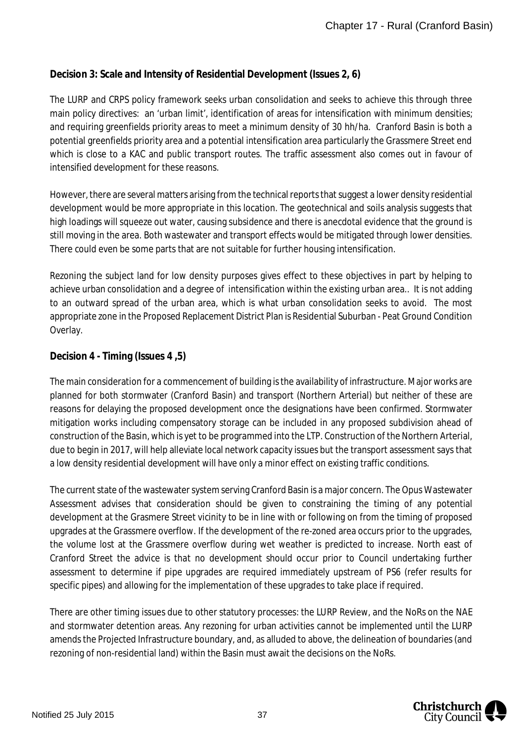# **Decision 3: Scale and Intensity of Residential Development (Issues 2, 6)**

The LURP and CRPS policy framework seeks urban consolidation and seeks to achieve this through three main policy directives: an 'urban limit', identification of areas for intensification with minimum densities; and requiring greenfields priority areas to meet a minimum density of 30 hh/ha. Cranford Basin is both a potential greenfields priority area and a potential intensification area particularly the Grassmere Street end which is close to a KAC and public transport routes. The traffic assessment also comes out in favour of intensified development for these reasons.

However, there are several matters arising from the technical reports that suggest a lower density residential development would be more appropriate in this location. The geotechnical and soils analysis suggests that high loadings will squeeze out water, causing subsidence and there is anecdotal evidence that the ground is still moving in the area. Both wastewater and transport effects would be mitigated through lower densities. There could even be some parts that are not suitable for further housing intensification.

Rezoning the subject land for low density purposes gives effect to these objectives in part by helping to achieve urban consolidation and a degree of intensification within the existing urban area.. It is not adding to an outward spread of the urban area, which is what urban consolidation seeks to avoid. The most appropriate zone in the Proposed Replacement District Plan is Residential Suburban - Peat Ground Condition Overlay.

# **Decision 4 - Timing (Issues 4 ,5)**

The main consideration for a commencement of building is the availability of infrastructure. Major works are planned for both stormwater (Cranford Basin) and transport (Northern Arterial) but neither of these are reasons for delaying the proposed development once the designations have been confirmed. Stormwater mitigation works including compensatory storage can be included in any proposed subdivision ahead of construction of the Basin, which is yet to be programmed into the LTP. Construction of the Northern Arterial, due to begin in 2017, will help alleviate local network capacity issues but the transport assessment says that a low density residential development will have only a minor effect on existing traffic conditions.

The current state of the wastewater system serving Cranford Basin is a major concern. The Opus Wastewater Assessment advises that consideration should be given to constraining the timing of any potential development at the Grasmere Street vicinity to be in line with or following on from the timing of proposed upgrades at the Grassmere overflow. If the development of the re-zoned area occurs prior to the upgrades, the volume lost at the Grassmere overflow during wet weather is predicted to increase. North east of Cranford Street the advice is that no development should occur prior to Council undertaking further assessment to determine if pipe upgrades are required immediately upstream of PS6 (refer results for specific pipes) and allowing for the implementation of these upgrades to take place if required.

There are other timing issues due to other statutory processes: the LURP Review, and the NoRs on the NAE and stormwater detention areas. Any rezoning for urban activities cannot be implemented until the LURP amends the Projected Infrastructure boundary, and, as alluded to above, the delineation of boundaries (and rezoning of non-residential land) within the Basin must await the decisions on the NoRs.

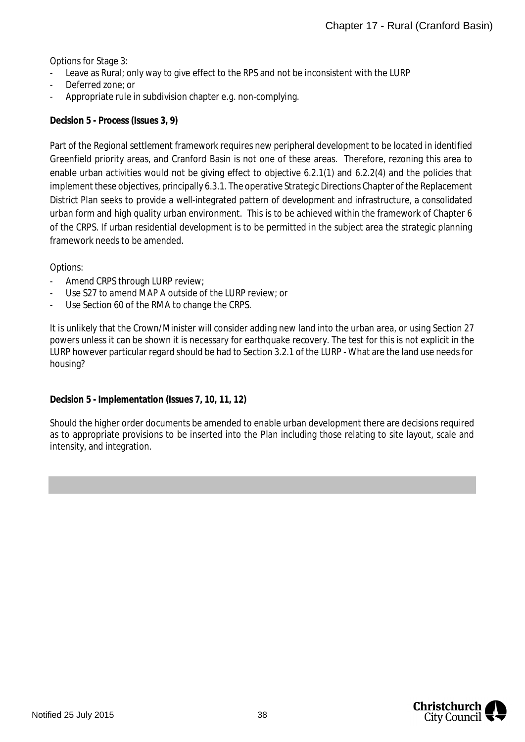Options for Stage 3:

- Leave as Rural; only way to give effect to the RPS and not be inconsistent with the LURP
- Deferred zone; or
- Appropriate rule in subdivision chapter e.g. non-complying.

**Decision 5 - Process (Issues 3, 9)**

Part of the Regional settlement framework requires new peripheral development to be located in identified Greenfield priority areas, and Cranford Basin is not one of these areas. Therefore, rezoning this area to enable urban activities would not be giving effect to objective 6.2.1(1) and 6.2.2(4) and the policies that implement these objectives, principally 6.3.1. The operative Strategic Directions Chapter of the Replacement District Plan seeks to provide a well-integrated pattern of development and infrastructure, a consolidated urban form and high quality urban environment. This is to be achieved within the framework of Chapter 6 of the CRPS. If urban residential development is to be permitted in the subject area the strategic planning framework needs to be amended.

Options:

- Amend CRPS through LURP review;
- Use S27 to amend MAP A outside of the LURP review; or
- Use Section 60 of the RMA to change the CRPS.

It is unlikely that the Crown/Minister will consider adding new land into the urban area, or using Section 27 powers unless it can be shown it is necessary for earthquake recovery. The test for this is not explicit in the LURP however particular regard should be had to Section 3.2.1 of the LURP - What are the land use needs for housing?

**Decision 5 - Implementation (Issues 7, 10, 11, 12)**

Should the higher order documents be amended to enable urban development there are decisions required as to appropriate provisions to be inserted into the Plan including those relating to site layout, scale and intensity, and integration.

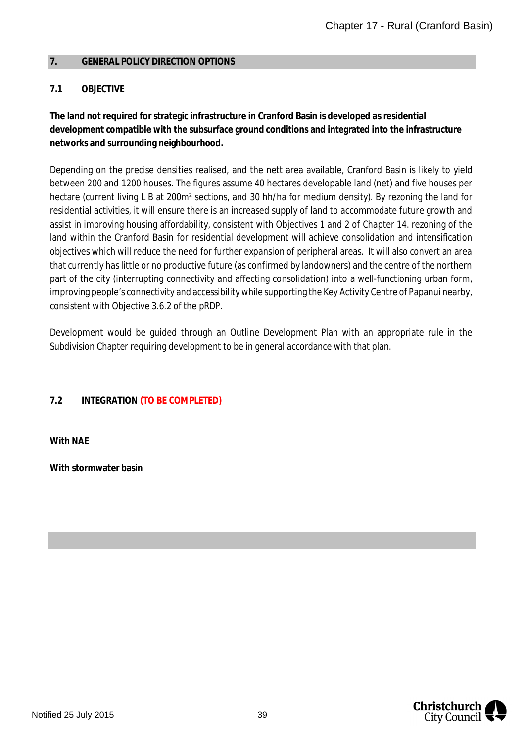### <span id="page-39-0"></span>**7. GENERAL POLICY DIRECTION OPTIONS**

# **7.1 OBJECTIVE**

**The land not required for strategic infrastructure in Cranford Basin is developed as residential development compatible with the subsurface ground conditions and integrated into the infrastructure networks and surrounding neighbourhood.**

Depending on the precise densities realised, and the nett area available, Cranford Basin is likely to yield between 200 and 1200 houses. The figures assume 40 hectares developable land (net) and five houses per hectare (current living L B at 200m² sections, and 30 hh/ha for medium density). By rezoning the land for residential activities, it will ensure there is an increased supply of land to accommodate future growth and assist in improving housing affordability, consistent with Objectives 1 and 2 of Chapter 14. rezoning of the land within the Cranford Basin for residential development will achieve consolidation and intensification objectives which will reduce the need for further expansion of peripheral areas. It will also convert an area that currently has little or no productive future (as confirmed by landowners) and the centre of the northern part of the city (interrupting connectivity and affecting consolidation) into a well-functioning urban form, improving people's connectivity and accessibility while supporting the Key Activity Centre of Papanui nearby, consistent with Objective 3.6.2 of the pRDP.

Development would be guided through an Outline Development Plan with an appropriate rule in the Subdivision Chapter requiring development to be in general accordance with that plan.

# **7.2 INTEGRATION (TO BE COMPLETED)**

**With NAE**

**With stormwater basin**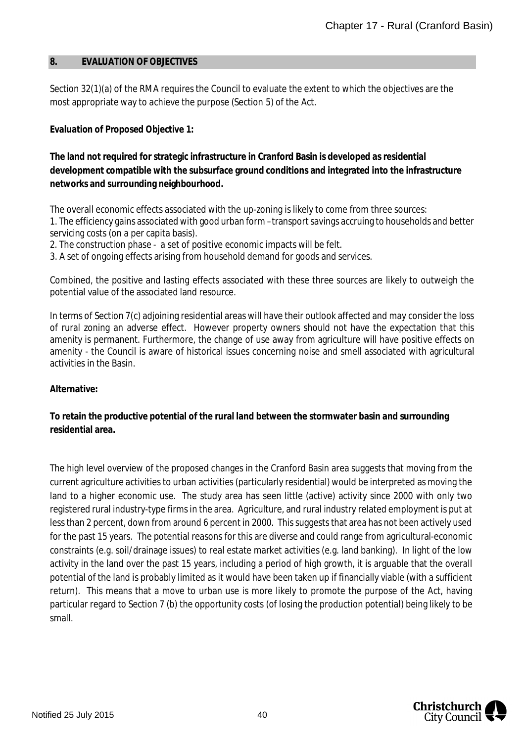#### <span id="page-40-0"></span>**8. EVALUATION OF OBJECTIVES**

Section 32(1)(a) of the RMA requires the Council to evaluate the extent to which the objectives are the most appropriate way to achieve the purpose (Section 5) of the Act.

**Evaluation of Proposed Objective 1:**

**The land not required for strategic infrastructure in Cranford Basin is developed as residential development compatible with the subsurface ground conditions and integrated into the infrastructure networks and surrounding neighbourhood.**

The overall economic effects associated with the up-zoning is likely to come from three sources: 1. The efficiency gains associated with good urban form –transport savings accruing to households and better servicing costs (on a per capita basis).

2. The construction phase - a set of positive economic impacts will be felt.

3. A set of ongoing effects arising from household demand for goods and services.

Combined, the positive and lasting effects associated with these three sources are likely to outweigh the potential value of the associated land resource.

In terms of Section 7(c) adjoining residential areas will have their outlook affected and may consider the loss of rural zoning an adverse effect. However property owners should not have the expectation that this amenity is permanent. Furthermore, the change of use away from agriculture will have positive effects on amenity - the Council is aware of historical issues concerning noise and smell associated with agricultural activities in the Basin.

**Alternative:**

**To retain the productive potential of the rural land between the stormwater basin and surrounding residential area.**

The high level overview of the proposed changes in the Cranford Basin area suggests that moving from the current agriculture activities to urban activities (particularly residential) would be interpreted as moving the land to a higher economic use. The study area has seen little (active) activity since 2000 with only two registered rural industry-type firms in the area. Agriculture, and rural industry related employment is put at less than 2 percent, down from around 6 percent in 2000. This suggests that area has not been actively used for the past 15 years. The potential reasons for this are diverse and could range from agricultural-economic constraints (e.g. soil/drainage issues) to real estate market activities (e.g. land banking). In light of the low activity in the land over the past 15 years, including a period of high growth, it is arguable that the overall potential of the land is probably limited as it would have been taken up if financially viable (with a sufficient return). This means that a move to urban use is more likely to promote the purpose of the Act, having particular regard to Section 7 (b) the opportunity costs (of losing the production potential) being likely to be small.

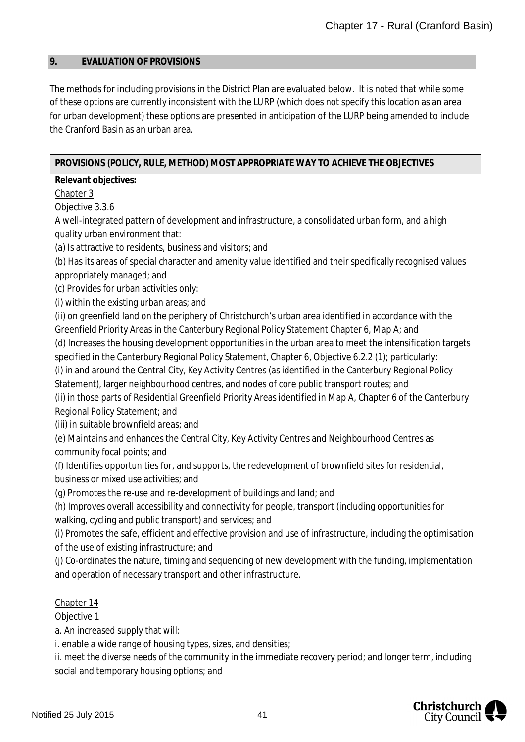#### <span id="page-41-0"></span>**9. EVALUATION OF PROVISIONS**

The methods for including provisions in the District Plan are evaluated below. It is noted that while some of these options are currently inconsistent with the LURP (which does not specify this location as an area for urban development) these options are presented in anticipation of the LURP being amended to include the Cranford Basin as an urban area.

**PROVISIONS (POLICY, RULE, METHOD) MOST APPROPRIATE WAY TO ACHIEVE THE OBJECTIVES**

**Relevant objectives:**

Chapter 3

Objective 3.3.6

A well-integrated pattern of development and infrastructure, a consolidated urban form, and a high quality urban environment that:

(a) Is attractive to residents, business and visitors; and

(b) Has its areas of special character and amenity value identified and their specifically recognised values appropriately managed; and

(c) Provides for urban activities only:

(i) within the existing urban areas; and

(ii) on greenfield land on the periphery of Christchurch's urban area identified in accordance with the Greenfield Priority Areas in the Canterbury Regional Policy Statement Chapter 6, Map A; and

(d) Increases the housing development opportunities in the urban area to meet the intensification targets

specified in the Canterbury Regional Policy Statement, Chapter 6, Objective 6.2.2 (1); particularly:

(i) in and around the Central City, Key Activity Centres (as identified in the Canterbury Regional Policy

Statement), larger neighbourhood centres, and nodes of core public transport routes; and

(ii) in those parts of Residential Greenfield Priority Areas identified in Map A, Chapter 6 of the Canterbury Regional Policy Statement; and

(iii) in suitable brownfield areas; and

(e) Maintains and enhances the Central City, Key Activity Centres and Neighbourhood Centres as community focal points; and

(f) Identifies opportunities for, and supports, the redevelopment of brownfield sites for residential, business or mixed use activities; and

(g) Promotes the re-use and re-development of buildings and land; and

(h) Improves overall accessibility and connectivity for people, transport (including opportunities for walking, cycling and public transport) and services; and

(i) Promotes the safe, efficient and effective provision and use of infrastructure, including the optimisation of the use of existing infrastructure; and

(j) Co-ordinates the nature, timing and sequencing of new development with the funding, implementation and operation of necessary transport and other infrastructure.

## Chapter 14

Objective 1

a. An increased supply that will:

i. enable a wide range of housing types, sizes, and densities;

ii. meet the diverse needs of the community in the immediate recovery period; and longer term, including social and temporary housing options; and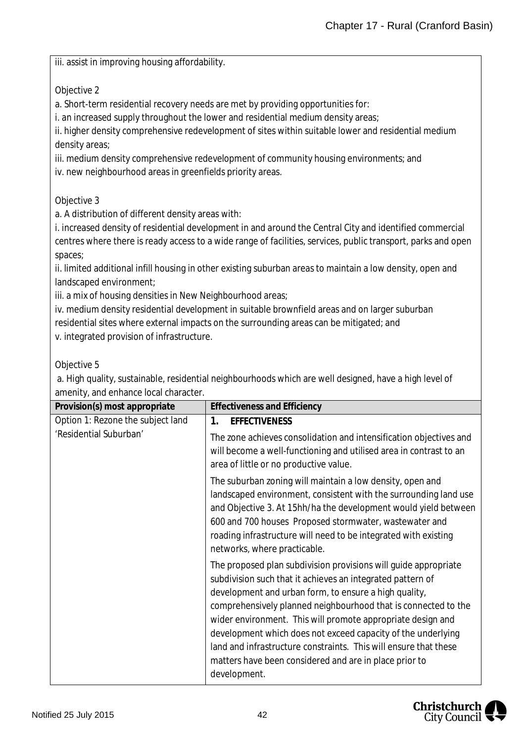iii. assist in improving housing affordability.

Objective 2

a. Short-term residential recovery needs are met by providing opportunities for:

i. an increased supply throughout the lower and residential medium density areas;

ii. higher density comprehensive redevelopment of sites within suitable lower and residential medium density areas;

iii. medium density comprehensive redevelopment of community housing environments; and

iv. new neighbourhood areas in greenfields priority areas.

Objective 3

a. A distribution of different density areas with:

i. increased density of residential development in and around the Central City and identified commercial centres where there is ready access to a wide range of facilities, services, public transport, parks and open spaces;

ii. limited additional infill housing in other existing suburban areas to maintain a low density, open and landscaped environment;

iii. a mix of housing densities in New Neighbourhood areas;

iv. medium density residential development in suitable brownfield areas and on larger suburban residential sites where external impacts on the surrounding areas can be mitigated; and v. integrated provision of infrastructure.

Objective 5

 a. High quality, sustainable, residential neighbourhoods which are well designed, have a high level of amenity, and enhance local character.

| Provision(s) most appropriate     | <b>Effectiveness and Efficiency</b>                                                                                                                                                                                                                                                                                                                                                                                                                                                                                                   |
|-----------------------------------|---------------------------------------------------------------------------------------------------------------------------------------------------------------------------------------------------------------------------------------------------------------------------------------------------------------------------------------------------------------------------------------------------------------------------------------------------------------------------------------------------------------------------------------|
| Option 1: Rezone the subject land | <b>EFFECTIVENESS</b><br>1.                                                                                                                                                                                                                                                                                                                                                                                                                                                                                                            |
| 'Residential Suburban'            | The zone achieves consolidation and intensification objectives and<br>will become a well-functioning and utilised area in contrast to an<br>area of little or no productive value.                                                                                                                                                                                                                                                                                                                                                    |
|                                   | The suburban zoning will maintain a low density, open and<br>landscaped environment, consistent with the surrounding land use<br>and Objective 3. At 15hh/ha the development would yield between<br>600 and 700 houses Proposed stormwater, wastewater and<br>roading infrastructure will need to be integrated with existing<br>networks, where practicable.                                                                                                                                                                         |
|                                   | The proposed plan subdivision provisions will guide appropriate<br>subdivision such that it achieves an integrated pattern of<br>development and urban form, to ensure a high quality,<br>comprehensively planned neighbourhood that is connected to the<br>wider environment. This will promote appropriate design and<br>development which does not exceed capacity of the underlying<br>land and infrastructure constraints. This will ensure that these<br>matters have been considered and are in place prior to<br>development. |

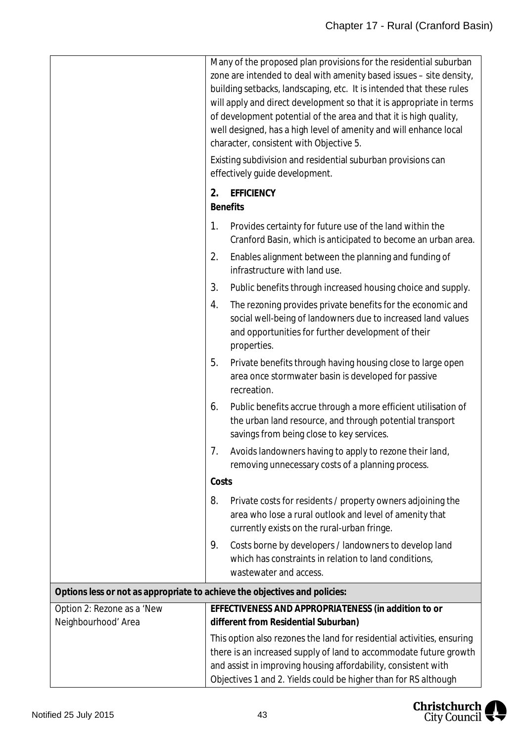|                                                                            | Many of the proposed plan provisions for the residential suburban<br>zone are intended to deal with amenity based issues - site density,<br>building setbacks, landscaping, etc. It is intended that these rules<br>will apply and direct development so that it is appropriate in terms<br>of development potential of the area and that it is high quality,<br>well designed, has a high level of amenity and will enhance local<br>character, consistent with Objective 5.<br>Existing subdivision and residential suburban provisions can<br>effectively guide development.<br>2.<br><b>EFFICIENCY</b> |  |
|----------------------------------------------------------------------------|------------------------------------------------------------------------------------------------------------------------------------------------------------------------------------------------------------------------------------------------------------------------------------------------------------------------------------------------------------------------------------------------------------------------------------------------------------------------------------------------------------------------------------------------------------------------------------------------------------|--|
|                                                                            | <b>Benefits</b><br>1.<br>Provides certainty for future use of the land within the                                                                                                                                                                                                                                                                                                                                                                                                                                                                                                                          |  |
|                                                                            | Cranford Basin, which is anticipated to become an urban area.                                                                                                                                                                                                                                                                                                                                                                                                                                                                                                                                              |  |
|                                                                            | 2.<br>Enables alignment between the planning and funding of<br>infrastructure with land use.                                                                                                                                                                                                                                                                                                                                                                                                                                                                                                               |  |
|                                                                            | 3.<br>Public benefits through increased housing choice and supply.                                                                                                                                                                                                                                                                                                                                                                                                                                                                                                                                         |  |
|                                                                            | The rezoning provides private benefits for the economic and<br>4.<br>social well-being of landowners due to increased land values<br>and opportunities for further development of their<br>properties.                                                                                                                                                                                                                                                                                                                                                                                                     |  |
|                                                                            | 5.<br>Private benefits through having housing close to large open<br>area once stormwater basin is developed for passive<br>recreation.                                                                                                                                                                                                                                                                                                                                                                                                                                                                    |  |
|                                                                            | 6.<br>Public benefits accrue through a more efficient utilisation of<br>the urban land resource, and through potential transport<br>savings from being close to key services.                                                                                                                                                                                                                                                                                                                                                                                                                              |  |
|                                                                            | Avoids landowners having to apply to rezone their land,<br>7.<br>removing unnecessary costs of a planning process.                                                                                                                                                                                                                                                                                                                                                                                                                                                                                         |  |
|                                                                            | Costs                                                                                                                                                                                                                                                                                                                                                                                                                                                                                                                                                                                                      |  |
|                                                                            | 8.<br>Private costs for residents / property owners adjoining the<br>area who lose a rural outlook and level of amenity that<br>currently exists on the rural-urban fringe.                                                                                                                                                                                                                                                                                                                                                                                                                                |  |
|                                                                            | 9.<br>Costs borne by developers / landowners to develop land<br>which has constraints in relation to land conditions,<br>wastewater and access.                                                                                                                                                                                                                                                                                                                                                                                                                                                            |  |
| Options less or not as appropriate to achieve the objectives and policies: |                                                                                                                                                                                                                                                                                                                                                                                                                                                                                                                                                                                                            |  |
| Option 2: Rezone as a 'New                                                 | EFFECTIVENESS AND APPROPRIATENESS (in addition to or                                                                                                                                                                                                                                                                                                                                                                                                                                                                                                                                                       |  |
| Neighbourhood' Area                                                        | different from Residential Suburban)<br>This option also rezones the land for residential activities, ensuring                                                                                                                                                                                                                                                                                                                                                                                                                                                                                             |  |
|                                                                            | there is an increased supply of land to accommodate future growth<br>and assist in improving housing affordability, consistent with<br>Objectives 1 and 2. Yields could be higher than for RS although                                                                                                                                                                                                                                                                                                                                                                                                     |  |

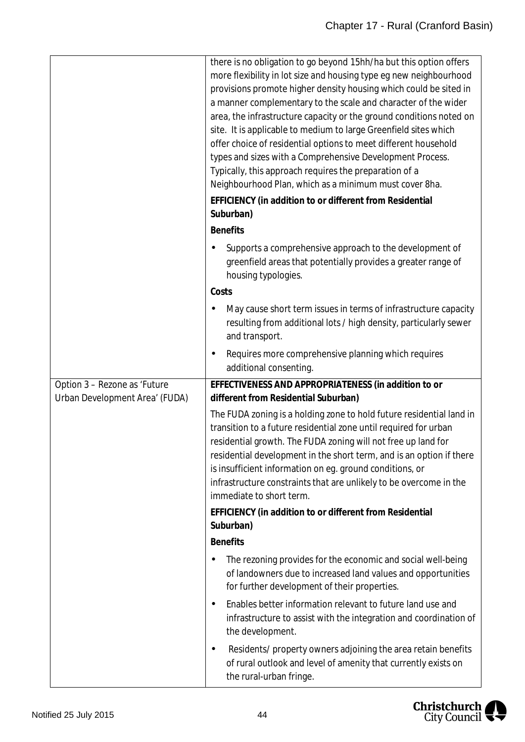|                                                                | there is no obligation to go beyond 15hh/ha but this option offers<br>more flexibility in lot size and housing type eg new neighbourhood<br>provisions promote higher density housing which could be sited in<br>a manner complementary to the scale and character of the wider<br>area, the infrastructure capacity or the ground conditions noted on<br>site. It is applicable to medium to large Greenfield sites which<br>offer choice of residential options to meet different household<br>types and sizes with a Comprehensive Development Process.<br>Typically, this approach requires the preparation of a<br>Neighbourhood Plan, which as a minimum must cover 8ha. |
|----------------------------------------------------------------|--------------------------------------------------------------------------------------------------------------------------------------------------------------------------------------------------------------------------------------------------------------------------------------------------------------------------------------------------------------------------------------------------------------------------------------------------------------------------------------------------------------------------------------------------------------------------------------------------------------------------------------------------------------------------------|
|                                                                | EFFICIENCY (in addition to or different from Residential<br>Suburban)                                                                                                                                                                                                                                                                                                                                                                                                                                                                                                                                                                                                          |
|                                                                | <b>Benefits</b>                                                                                                                                                                                                                                                                                                                                                                                                                                                                                                                                                                                                                                                                |
|                                                                | Supports a comprehensive approach to the development of<br>٠<br>greenfield areas that potentially provides a greater range of<br>housing typologies.                                                                                                                                                                                                                                                                                                                                                                                                                                                                                                                           |
|                                                                | Costs                                                                                                                                                                                                                                                                                                                                                                                                                                                                                                                                                                                                                                                                          |
|                                                                | May cause short term issues in terms of infrastructure capacity<br>resulting from additional lots / high density, particularly sewer<br>and transport.                                                                                                                                                                                                                                                                                                                                                                                                                                                                                                                         |
|                                                                | Requires more comprehensive planning which requires<br>٠<br>additional consenting.                                                                                                                                                                                                                                                                                                                                                                                                                                                                                                                                                                                             |
| Option 3 - Rezone as 'Future<br>Urban Development Area' (FUDA) | EFFECTIVENESS AND APPROPRIATENESS (in addition to or<br>different from Residential Suburban)                                                                                                                                                                                                                                                                                                                                                                                                                                                                                                                                                                                   |
|                                                                | The FUDA zoning is a holding zone to hold future residential land in<br>transition to a future residential zone until required for urban<br>residential growth. The FUDA zoning will not free up land for<br>residential development in the short term, and is an option if there<br>is insufficient information on eg. ground conditions, or<br>infrastructure constraints that are unlikely to be overcome in the<br>immediate to short term.                                                                                                                                                                                                                                |
|                                                                | EFFICIENCY (in addition to or different from Residential<br>Suburban)                                                                                                                                                                                                                                                                                                                                                                                                                                                                                                                                                                                                          |
|                                                                | <b>Benefits</b>                                                                                                                                                                                                                                                                                                                                                                                                                                                                                                                                                                                                                                                                |
|                                                                | The rezoning provides for the economic and social well-being<br>٠<br>of landowners due to increased land values and opportunities<br>for further development of their properties.                                                                                                                                                                                                                                                                                                                                                                                                                                                                                              |
|                                                                | Enables better information relevant to future land use and<br>٠<br>infrastructure to assist with the integration and coordination of<br>the development.                                                                                                                                                                                                                                                                                                                                                                                                                                                                                                                       |
|                                                                | Residents/ property owners adjoining the area retain benefits<br>٠<br>of rural outlook and level of amenity that currently exists on<br>the rural-urban fringe.                                                                                                                                                                                                                                                                                                                                                                                                                                                                                                                |

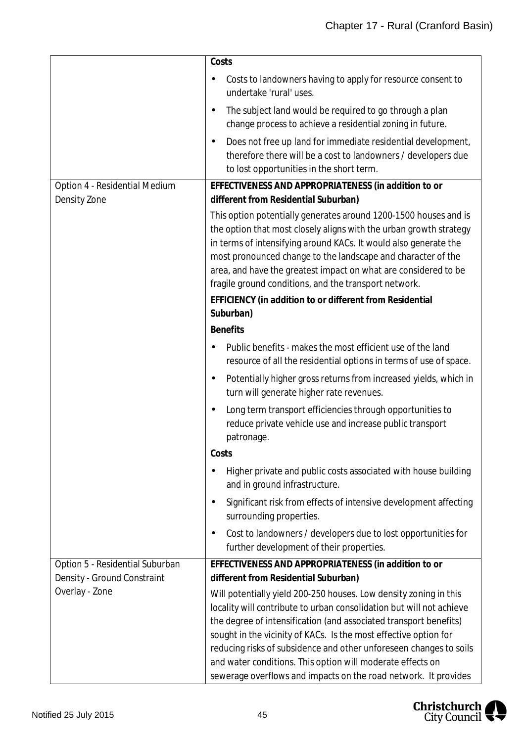|                                                                | Costs                                                                                                                                                                                                                                                                                                                                                                                                                                                                                     |
|----------------------------------------------------------------|-------------------------------------------------------------------------------------------------------------------------------------------------------------------------------------------------------------------------------------------------------------------------------------------------------------------------------------------------------------------------------------------------------------------------------------------------------------------------------------------|
|                                                                | Costs to landowners having to apply for resource consent to<br>undertake 'rural' uses.                                                                                                                                                                                                                                                                                                                                                                                                    |
|                                                                | The subject land would be required to go through a plan<br>$\blacksquare$<br>change process to achieve a residential zoning in future.                                                                                                                                                                                                                                                                                                                                                    |
|                                                                | Does not free up land for immediate residential development,<br>$\blacksquare$<br>therefore there will be a cost to landowners / developers due<br>to lost opportunities in the short term.                                                                                                                                                                                                                                                                                               |
| Option 4 - Residential Medium<br>Density Zone                  | EFFECTIVENESS AND APPROPRIATENESS (in addition to or<br>different from Residential Suburban)                                                                                                                                                                                                                                                                                                                                                                                              |
|                                                                | This option potentially generates around 1200-1500 houses and is<br>the option that most closely aligns with the urban growth strategy<br>in terms of intensifying around KACs. It would also generate the<br>most pronounced change to the landscape and character of the<br>area, and have the greatest impact on what are considered to be<br>fragile ground conditions, and the transport network.                                                                                    |
|                                                                | EFFICIENCY (in addition to or different from Residential<br>Suburban)                                                                                                                                                                                                                                                                                                                                                                                                                     |
|                                                                | <b>Benefits</b>                                                                                                                                                                                                                                                                                                                                                                                                                                                                           |
|                                                                | Public benefits - makes the most efficient use of the land<br>resource of all the residential options in terms of use of space.                                                                                                                                                                                                                                                                                                                                                           |
|                                                                | Potentially higher gross returns from increased yields, which in<br>$\bullet$<br>turn will generate higher rate revenues.                                                                                                                                                                                                                                                                                                                                                                 |
|                                                                | Long term transport efficiencies through opportunities to<br>$\blacksquare$<br>reduce private vehicle use and increase public transport<br>patronage.<br>Costs                                                                                                                                                                                                                                                                                                                            |
|                                                                | Higher private and public costs associated with house building<br>$\blacksquare$<br>and in ground infrastructure.                                                                                                                                                                                                                                                                                                                                                                         |
|                                                                | Significant risk from effects of intensive development affecting<br>$\bullet$<br>surrounding properties.                                                                                                                                                                                                                                                                                                                                                                                  |
|                                                                | Cost to landowners / developers due to lost opportunities for<br>$\bullet$<br>further development of their properties.                                                                                                                                                                                                                                                                                                                                                                    |
| Option 5 - Residential Suburban<br>Density - Ground Constraint | EFFECTIVENESS AND APPROPRIATENESS (in addition to or<br>different from Residential Suburban)                                                                                                                                                                                                                                                                                                                                                                                              |
| Overlay - Zone                                                 | Will potentially yield 200-250 houses. Low density zoning in this<br>locality will contribute to urban consolidation but will not achieve<br>the degree of intensification (and associated transport benefits)<br>sought in the vicinity of KACs. Is the most effective option for<br>reducing risks of subsidence and other unforeseen changes to soils<br>and water conditions. This option will moderate effects on<br>sewerage overflows and impacts on the road network. It provides |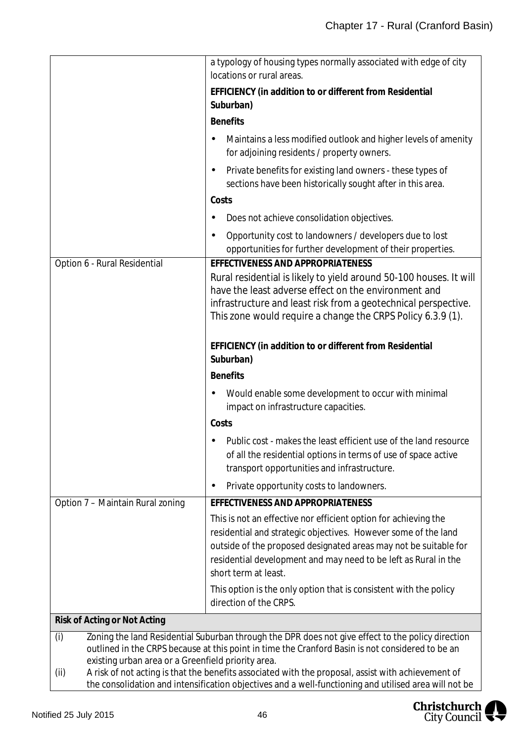|                                                           | a typology of housing types normally associated with edge of city<br>locations or rural areas.                                                                                                                                                                                                   |  |
|-----------------------------------------------------------|--------------------------------------------------------------------------------------------------------------------------------------------------------------------------------------------------------------------------------------------------------------------------------------------------|--|
|                                                           | EFFICIENCY (in addition to or different from Residential                                                                                                                                                                                                                                         |  |
|                                                           | Suburban)                                                                                                                                                                                                                                                                                        |  |
|                                                           | <b>Benefits</b>                                                                                                                                                                                                                                                                                  |  |
|                                                           | Maintains a less modified outlook and higher levels of amenity<br>for adjoining residents / property owners.                                                                                                                                                                                     |  |
|                                                           | Private benefits for existing land owners - these types of<br>$\blacksquare$<br>sections have been historically sought after in this area.                                                                                                                                                       |  |
|                                                           | Costs                                                                                                                                                                                                                                                                                            |  |
|                                                           | Does not achieve consolidation objectives.<br>٠                                                                                                                                                                                                                                                  |  |
|                                                           | Opportunity cost to landowners / developers due to lost<br>$\blacksquare$<br>opportunities for further development of their properties.                                                                                                                                                          |  |
| Option 6 - Rural Residential                              | EFFECTIVENESS AND APPROPRIATENESS                                                                                                                                                                                                                                                                |  |
|                                                           | Rural residential is likely to yield around 50-100 houses. It will<br>have the least adverse effect on the environment and<br>infrastructure and least risk from a geotechnical perspective.<br>This zone would require a change the CRPS Policy 6.3.9 (1).                                      |  |
|                                                           | EFFICIENCY (in addition to or different from Residential<br>Suburban)                                                                                                                                                                                                                            |  |
|                                                           | <b>Benefits</b>                                                                                                                                                                                                                                                                                  |  |
|                                                           | Would enable some development to occur with minimal<br>٠<br>impact on infrastructure capacities.                                                                                                                                                                                                 |  |
|                                                           | Costs                                                                                                                                                                                                                                                                                            |  |
|                                                           | Public cost - makes the least efficient use of the land resource<br>of all the residential options in terms of use of space active<br>transport opportunities and infrastructure.                                                                                                                |  |
|                                                           | Private opportunity costs to landowners.<br>$\blacksquare$                                                                                                                                                                                                                                       |  |
| Option 7 - Maintain Rural zoning                          | EFFECTIVENESS AND APPROPRIATENESS                                                                                                                                                                                                                                                                |  |
|                                                           | This is not an effective nor efficient option for achieving the<br>residential and strategic objectives. However some of the land<br>outside of the proposed designated areas may not be suitable for<br>residential development and may need to be left as Rural in the<br>short term at least. |  |
|                                                           | This option is the only option that is consistent with the policy<br>direction of the CRPS.                                                                                                                                                                                                      |  |
| Risk of Acting or Not Acting                              |                                                                                                                                                                                                                                                                                                  |  |
| (i)<br>existing urban area or a Greenfield priority area. | Zoning the land Residential Suburban through the DPR does not give effect to the policy direction<br>outlined in the CRPS because at this point in time the Cranford Basin is not considered to be an                                                                                            |  |
| (ii)                                                      | A risk of not acting is that the benefits associated with the proposal, assist with achievement of<br>the consolidation and intensification objectives and a well-functioning and utilised area will not be                                                                                      |  |

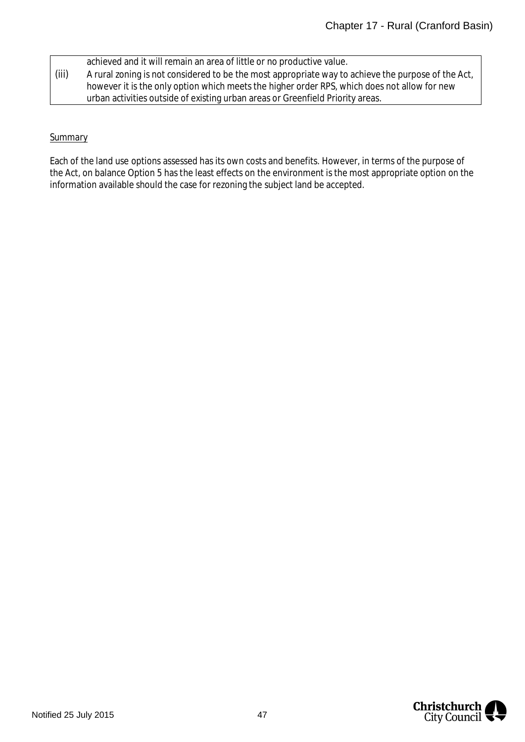|       | achieved and it will remain an area of little or no productive value.                              |
|-------|----------------------------------------------------------------------------------------------------|
| (iii) | A rural zoning is not considered to be the most appropriate way to achieve the purpose of the Act, |
|       | however it is the only option which meets the higher order RPS, which does not allow for new       |
|       | urban activities outside of existing urban areas or Greenfield Priority areas.                     |

## **Summary**

Each of the land use options assessed has its own costs and benefits. However, in terms of the purpose of the Act, on balance Option 5 has the least effects on the environment is the most appropriate option on the information available should the case for rezoning the subject land be accepted.

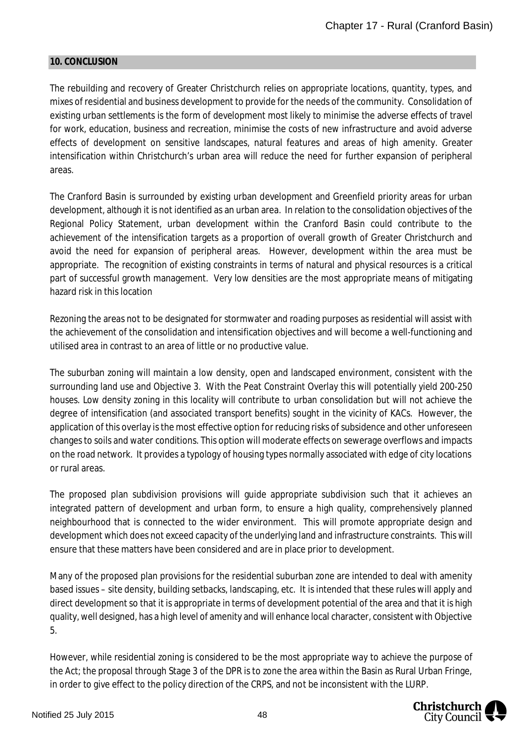#### <span id="page-48-0"></span>**10. CONCLUSION**

The rebuilding and recovery of Greater Christchurch relies on appropriate locations, quantity, types, and mixes of residential and business development to provide for the needs of the community. Consolidation of existing urban settlements is the form of development most likely to minimise the adverse effects of travel for work, education, business and recreation, minimise the costs of new infrastructure and avoid adverse effects of development on sensitive landscapes, natural features and areas of high amenity. Greater intensification within Christchurch's urban area will reduce the need for further expansion of peripheral areas.

The Cranford Basin is surrounded by existing urban development and Greenfield priority areas for urban development, although it is not identified as an urban area. In relation to the consolidation objectives of the Regional Policy Statement, urban development within the Cranford Basin could contribute to the achievement of the intensification targets as a proportion of overall growth of Greater Christchurch and avoid the need for expansion of peripheral areas. However, development within the area must be appropriate. The recognition of existing constraints in terms of natural and physical resources is a critical part of successful growth management. Very low densities are the most appropriate means of mitigating hazard risk in this location

Rezoning the areas not to be designated for stormwater and roading purposes as residential will assist with the achievement of the consolidation and intensification objectives and will become a well-functioning and utilised area in contrast to an area of little or no productive value.

The suburban zoning will maintain a low density, open and landscaped environment, consistent with the surrounding land use and Objective 3. With the Peat Constraint Overlay this will potentially yield 200-250 houses. Low density zoning in this locality will contribute to urban consolidation but will not achieve the degree of intensification (and associated transport benefits) sought in the vicinity of KACs. However, the application of this overlay is the most effective option for reducing risks of subsidence and other unforeseen changes to soils and water conditions. This option will moderate effects on sewerage overflows and impacts on the road network. It provides a typology of housing types normally associated with edge of city locations or rural areas.

The proposed plan subdivision provisions will guide appropriate subdivision such that it achieves an integrated pattern of development and urban form, to ensure a high quality, comprehensively planned neighbourhood that is connected to the wider environment. This will promote appropriate design and development which does not exceed capacity of the underlying land and infrastructure constraints. This will ensure that these matters have been considered and are in place prior to development.

Many of the proposed plan provisions for the residential suburban zone are intended to deal with amenity based issues – site density, building setbacks, landscaping, etc. It is intended that these rules will apply and direct development so that it is appropriate in terms of development potential of the area and that it is high quality, well designed, has a high level of amenity and will enhance local character, consistent with Objective 5.

However, while residential zoning is considered to be the most appropriate way to achieve the purpose of the Act; the proposal through Stage 3 of the DPR is to zone the area within the Basin as Rural Urban Fringe, in order to give effect to the policy direction of the CRPS, and not be inconsistent with the LURP.

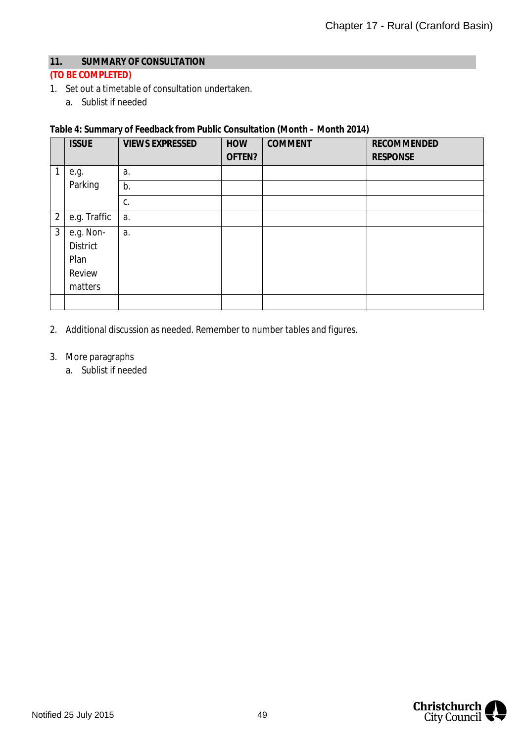### <span id="page-49-0"></span>**11. SUMMARY OF CONSULTATION**

## **(TO BE COMPLETED)**

- 1. Set out a timetable of consultation undertaken.
	- a. Sublist if needed

## **Table 4: Summary of Feedback from Public Consultation (Month – Month 2014)**

|                | <b>ISSUE</b>                                       | <b>VIEWS EXPRESSED</b> | HOW<br>OFTEN? | <b>COMMENT</b> | <b>RECOMMENDED</b><br><b>RESPONSE</b> |
|----------------|----------------------------------------------------|------------------------|---------------|----------------|---------------------------------------|
| 1              | e.g.                                               | a.                     |               |                |                                       |
|                | Parking                                            | b.                     |               |                |                                       |
|                |                                                    | C.                     |               |                |                                       |
| $\overline{2}$ | e.g. Traffic                                       | a.                     |               |                |                                       |
| $\mathfrak{Z}$ | e.g. Non-<br>District<br>Plan<br>Review<br>matters | a.                     |               |                |                                       |
|                |                                                    |                        |               |                |                                       |

2. Additional discussion as needed. Remember to number tables and figures.

### 3. More paragraphs

a. Sublist if needed

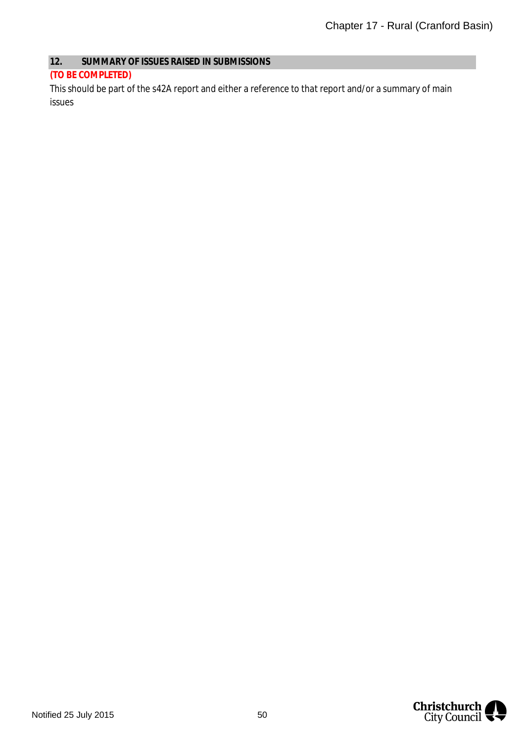### <span id="page-50-0"></span>**12. SUMMARY OF ISSUES RAISED IN SUBMISSIONS**

#### **(TO BE COMPLETED)**

This should be part of the s42A report and either a reference to that report and/or a summary of main issues

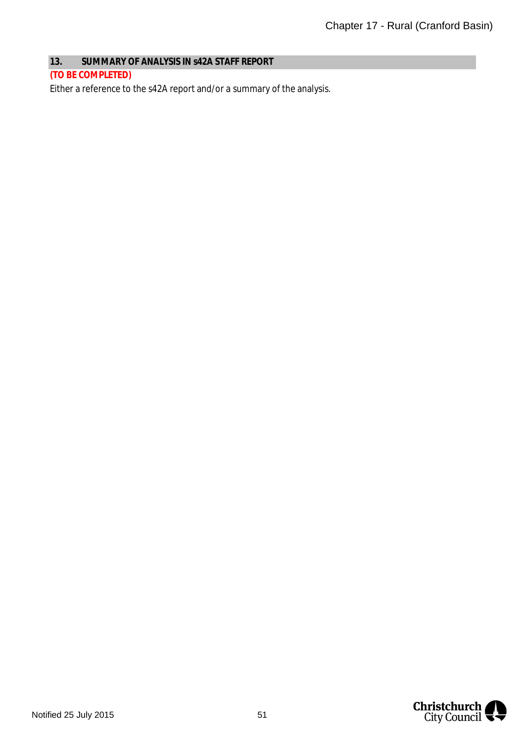# <span id="page-51-0"></span>**13. SUMMARY OF ANALYSIS IN s42A STAFF REPORT**

#### **(TO BE COMPLETED)**

Either a reference to the s42A report and/or a summary of the analysis.

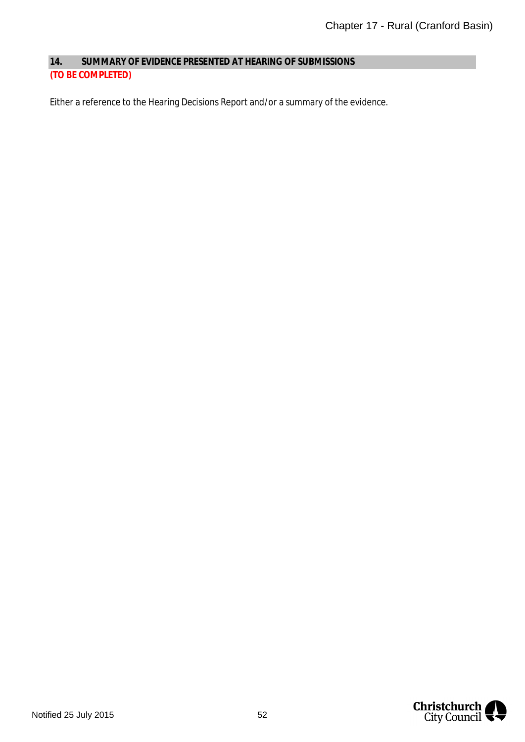<span id="page-52-0"></span>**14. SUMMARY OF EVIDENCE PRESENTED AT HEARING OF SUBMISSIONS (TO BE COMPLETED)**

Either a reference to the Hearing Decisions Report and/or a summary of the evidence.

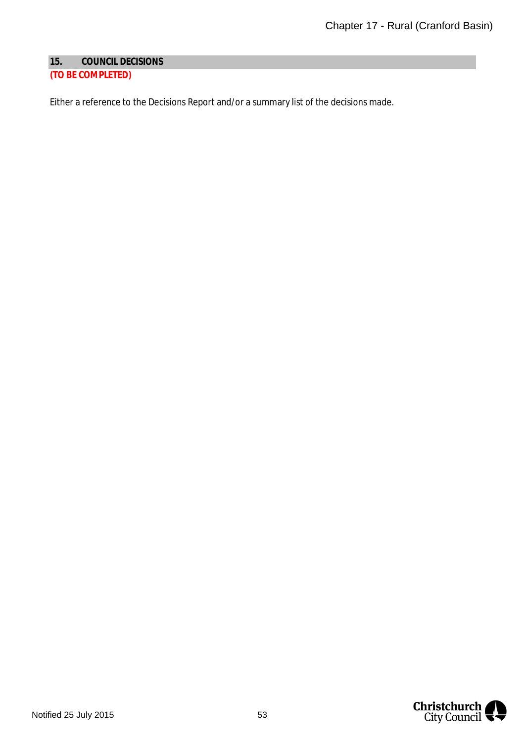## <span id="page-53-0"></span>**15. COUNCIL DECISIONS**

# **(TO BE COMPLETED)**

Either a reference to the Decisions Report and/or a summary list of the decisions made.

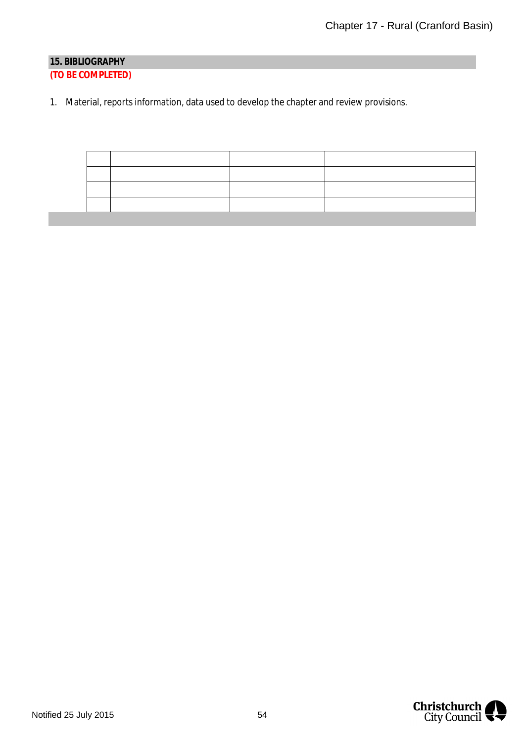# <span id="page-54-0"></span>**15. BIBLIOGRAPHY (TO BE COMPLETED)**

1. Material, reports information, data used to develop the chapter and review provisions.

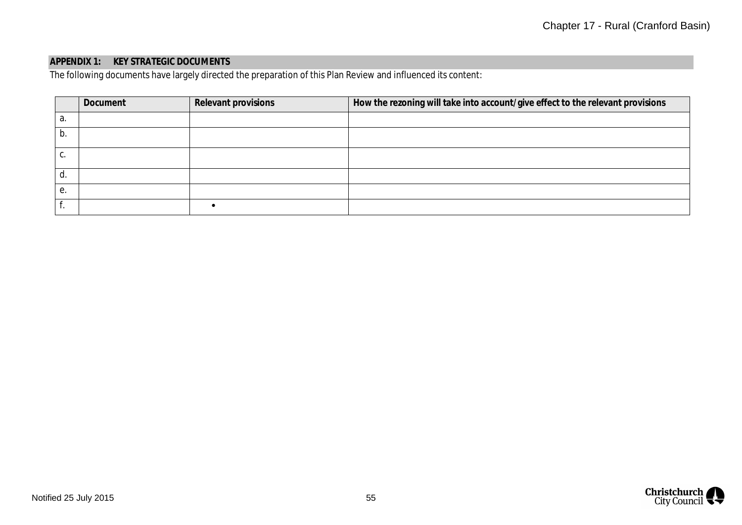# **APPENDIX 1: KEY STRATEGIC DOCUMENTS**

The following documents have largely directed the preparation of this Plan Review and influenced its content:

|    | Document | Relevant provisions | How the rezoning will take into account/give effect to the relevant provisions |
|----|----------|---------------------|--------------------------------------------------------------------------------|
| а. |          |                     |                                                                                |
| b. |          |                     |                                                                                |
| Ⴑ. |          |                     |                                                                                |
| α  |          |                     |                                                                                |
| е. |          |                     |                                                                                |
|    |          |                     |                                                                                |

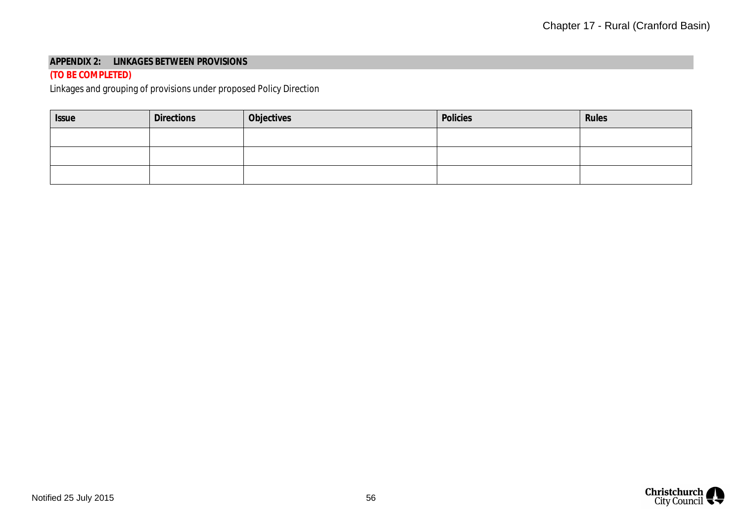#### **APPENDIX 2: LINKAGES BETWEEN PROVISIONS**

## **(TO BE COMPLETED)**

Linkages and grouping of provisions under proposed Policy Direction

| <b>Issue</b> | <b>Directions</b> | Objectives | Policies | Rules |
|--------------|-------------------|------------|----------|-------|
|              |                   |            |          |       |
|              |                   |            |          |       |
|              |                   |            |          |       |